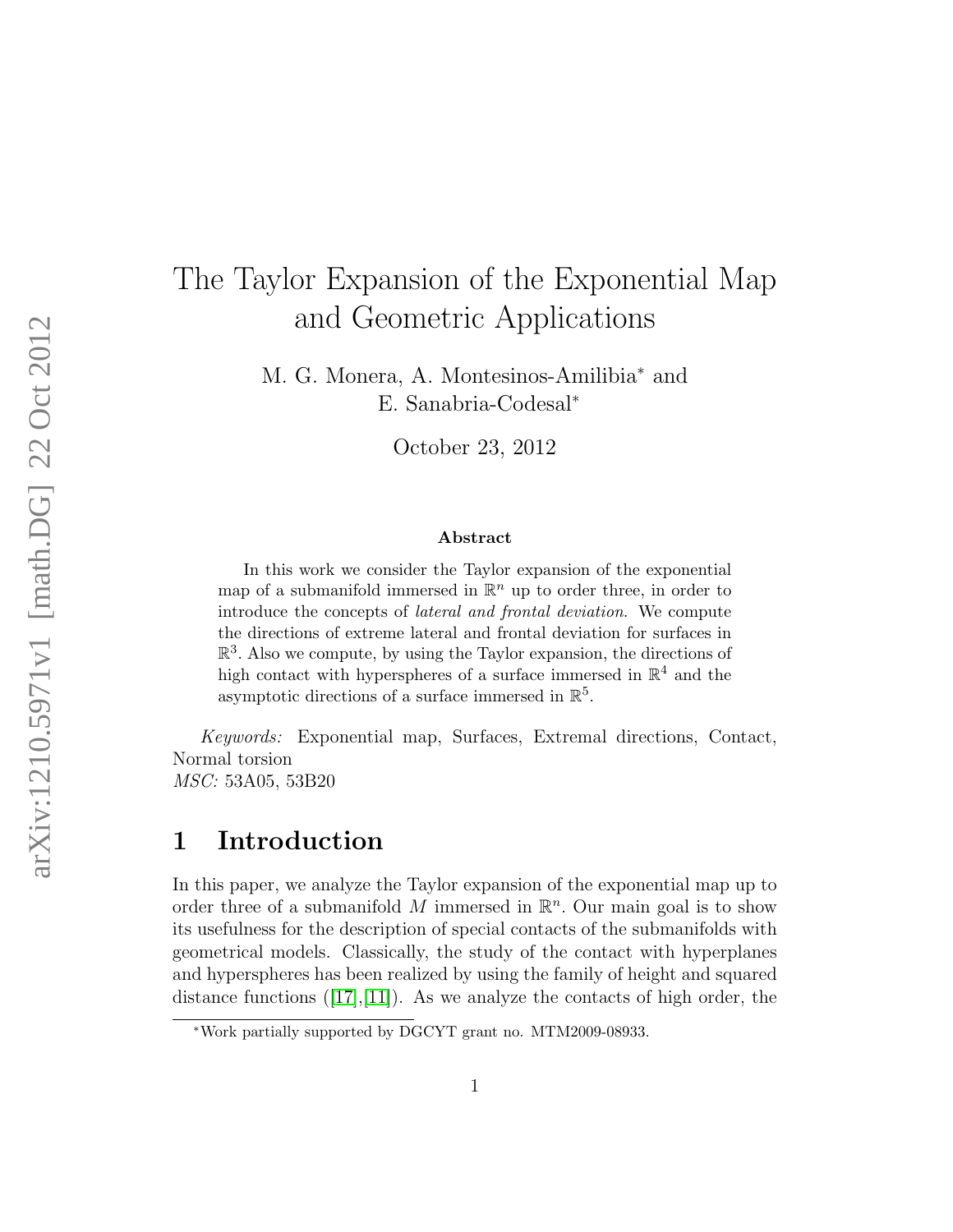# The Taylor Expansion of the Exponential Map and Geometric Applications

M. G. Monera, A. Montesinos-Amilibia<sup>∗</sup> and E. Sanabria-Codesal<sup>∗</sup>

October 23, 2012

#### Abstract

In this work we consider the Taylor expansion of the exponential map of a submanifold immersed in  $\mathbb{R}^n$  up to order three, in order to introduce the concepts of lateral and frontal deviation. We compute the directions of extreme lateral and frontal deviation for surfaces in  $\mathbb{R}^3$ . Also we compute, by using the Taylor expansion, the directions of high contact with hyperspheres of a surface immersed in  $\mathbb{R}^4$  and the asymptotic directions of a surface immersed in  $\mathbb{R}^5$ .

Keywords: Exponential map, Surfaces, Extremal directions, Contact, Normal torsion MSC: 53A05, 53B20

## 1 Introduction

In this paper, we analyze the Taylor expansion of the exponential map up to order three of a submanifold M immersed in  $\mathbb{R}^n$ . Our main goal is to show its usefulness for the description of special contacts of the submanifolds with geometrical models. Classically, the study of the contact with hyperplanes and hyperspheres has been realized by using the family of height and squared distancefunctions  $(17,11)$ . As we analyze the contacts of high order, the

<sup>∗</sup>Work partially supported by DGCYT grant no. MTM2009-08933.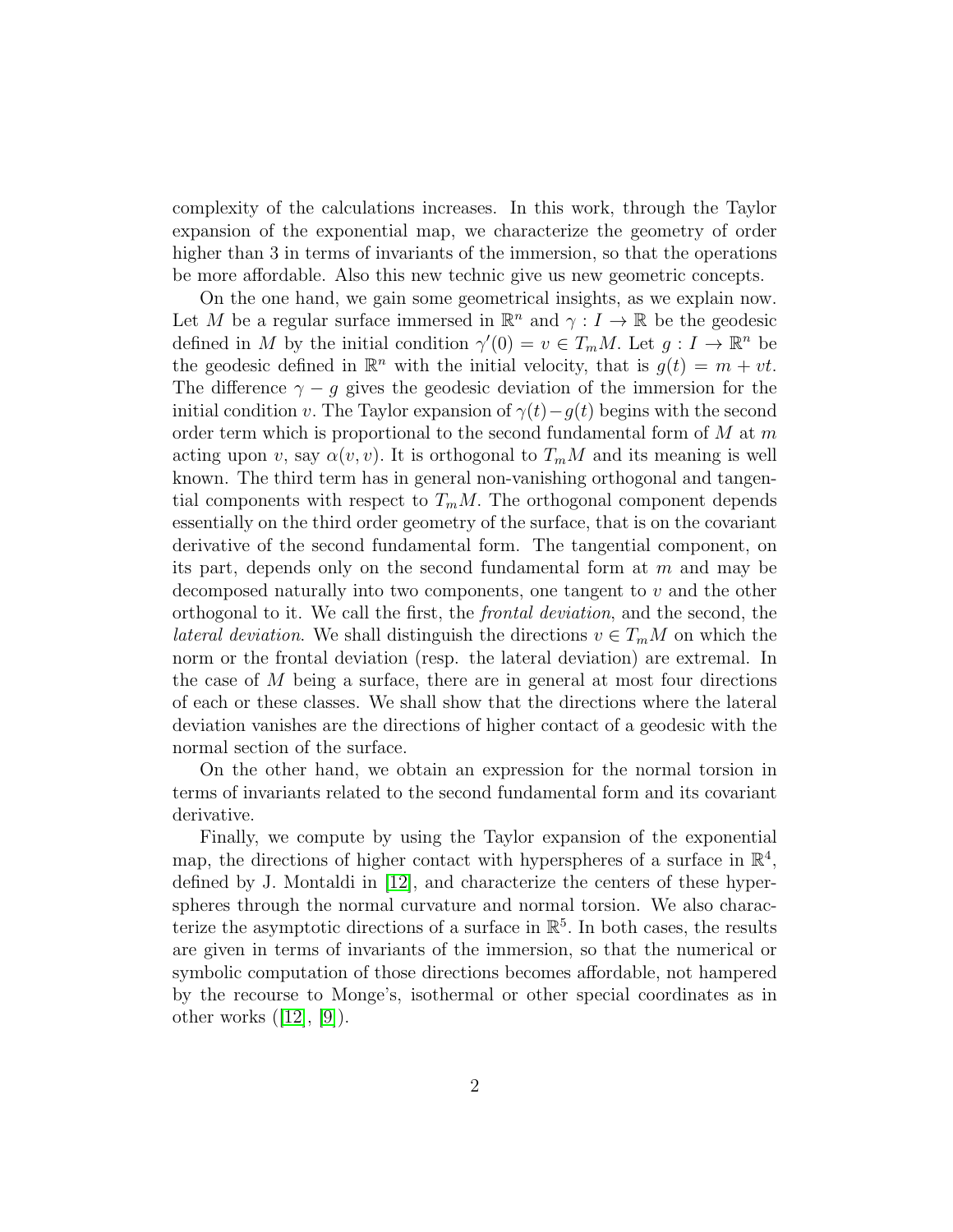complexity of the calculations increases. In this work, through the Taylor expansion of the exponential map, we characterize the geometry of order higher than 3 in terms of invariants of the immersion, so that the operations be more affordable. Also this new technic give us new geometric concepts.

On the one hand, we gain some geometrical insights, as we explain now. Let M be a regular surface immersed in  $\mathbb{R}^n$  and  $\gamma: I \to \mathbb{R}$  be the geodesic defined in M by the initial condition  $\gamma'(0) = v \in T_m M$ . Let  $g: I \to \mathbb{R}^n$  be the geodesic defined in  $\mathbb{R}^n$  with the initial velocity, that is  $g(t) = m + vt$ . The difference  $\gamma - g$  gives the geodesic deviation of the immersion for the initial condition v. The Taylor expansion of  $\gamma(t)-g(t)$  begins with the second order term which is proportional to the second fundamental form of  $M$  at m acting upon v, say  $\alpha(v, v)$ . It is orthogonal to  $T_m M$  and its meaning is well known. The third term has in general non-vanishing orthogonal and tangential components with respect to  $T_mM$ . The orthogonal component depends essentially on the third order geometry of the surface, that is on the covariant derivative of the second fundamental form. The tangential component, on its part, depends only on the second fundamental form at  $m$  and may be decomposed naturally into two components, one tangent to v and the other orthogonal to it. We call the first, the frontal deviation, and the second, the lateral deviation. We shall distinguish the directions  $v \in T_mM$  on which the norm or the frontal deviation (resp. the lateral deviation) are extremal. In the case of  $M$  being a surface, there are in general at most four directions of each or these classes. We shall show that the directions where the lateral deviation vanishes are the directions of higher contact of a geodesic with the normal section of the surface.

On the other hand, we obtain an expression for the normal torsion in terms of invariants related to the second fundamental form and its covariant derivative.

Finally, we compute by using the Taylor expansion of the exponential map, the directions of higher contact with hyperspheres of a surface in  $\mathbb{R}^4$ , defined by J. Montaldi in [\[12\]](#page-26-2), and characterize the centers of these hyperspheres through the normal curvature and normal torsion. We also characterize the asymptotic directions of a surface in  $\mathbb{R}^5$ . In both cases, the results are given in terms of invariants of the immersion, so that the numerical or symbolic computation of those directions becomes affordable, not hampered by the recourse to Monge's, isothermal or other special coordinates as in otherworks  $([12], [9])$  $([12], [9])$  $([12], [9])$  $([12], [9])$  $([12], [9])$ .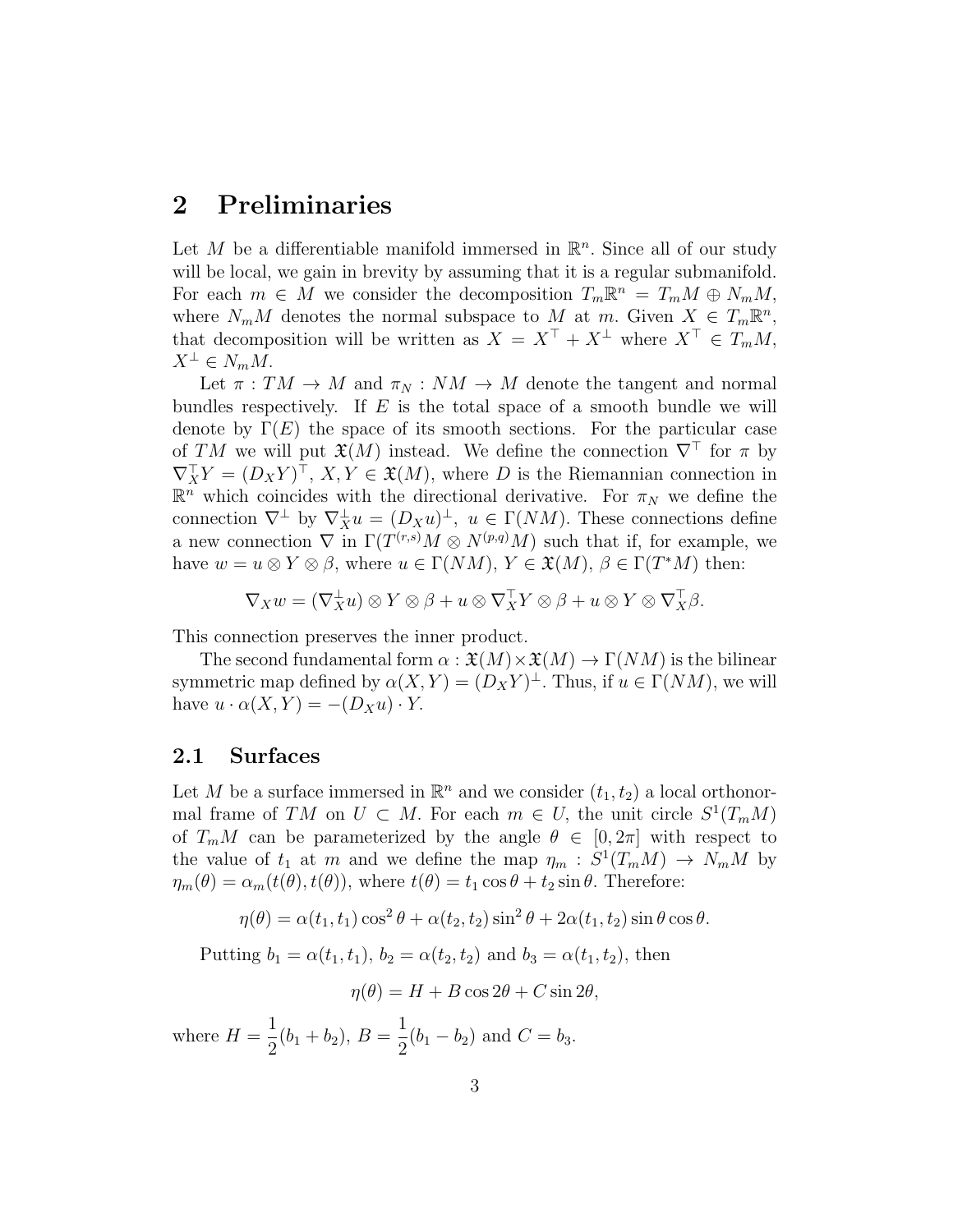## 2 Preliminaries

Let M be a differentiable manifold immersed in  $\mathbb{R}^n$ . Since all of our study will be local, we gain in brevity by assuming that it is a regular submanifold. For each  $m \in M$  we consider the decomposition  $T_m \mathbb{R}^n = T_m M \oplus N_m M$ , where  $N_m M$  denotes the normal subspace to M at m. Given  $X \in T_m \mathbb{R}^n$ , that decomposition will be written as  $X = X^{\top} + X^{\perp}$  where  $X^{\top} \in T_mM$ ,  $X^{\perp} \in N_m M$ .

Let  $\pi: TM \to M$  and  $\pi_N: NM \to M$  denote the tangent and normal bundles respectively. If  $E$  is the total space of a smooth bundle we will denote by  $\Gamma(E)$  the space of its smooth sections. For the particular case of TM we will put  $\mathfrak{X}(M)$  instead. We define the connection  $\nabla^{\top}$  for  $\pi$  by  $\nabla_X^{\top} Y = (D_X Y)^{\top}, X, Y \in \mathfrak{X}(M)$ , where D is the Riemannian connection in  $\mathbb{R}^n$  which coincides with the directional derivative. For  $\pi_N$  we define the connection  $\nabla^{\perp}$  by  $\nabla_X^{\perp} u = (D_X u)^{\perp}$ ,  $u \in \Gamma(NM)$ . These connections define a new connection  $\nabla$  in  $\Gamma(T^{(r,s)}M\otimes N^{(p,q)}M)$  such that if, for example, we have  $w = u \otimes Y \otimes \beta$ , where  $u \in \Gamma(NM)$ ,  $Y \in \mathfrak{X}(M)$ ,  $\beta \in \Gamma(T^*M)$  then:

$$
\nabla_X w = (\nabla_X^{\perp} u) \otimes Y \otimes \beta + u \otimes \nabla_X^{\top} Y \otimes \beta + u \otimes Y \otimes \nabla_X^{\top} \beta.
$$

This connection preserves the inner product.

The second fundamental form  $\alpha : \mathfrak{X}(M) \times \mathfrak{X}(M) \to \Gamma(NM)$  is the bilinear symmetric map defined by  $\alpha(X, Y) = (D_X Y)^{\perp}$ . Thus, if  $u \in \Gamma(NM)$ , we will have  $u \cdot \alpha(X, Y) = -(D_X u) \cdot Y$ .

#### 2.1 Surfaces

Let M be a surface immersed in  $\mathbb{R}^n$  and we consider  $(t_1, t_2)$  a local orthonormal frame of TM on  $U \subset M$ . For each  $m \in U$ , the unit circle  $S^1(T_mM)$ of  $T_m M$  can be parameterized by the angle  $\theta \in [0, 2\pi]$  with respect to the value of  $t_1$  at m and we define the map  $\eta_m : S^1(T_mM) \to N_mM$  by  $\eta_m(\theta) = \alpha_m(t(\theta), t(\theta))$ , where  $t(\theta) = t_1 \cos \theta + t_2 \sin \theta$ . Therefore:

$$
\eta(\theta) = \alpha(t_1, t_1) \cos^2 \theta + \alpha(t_2, t_2) \sin^2 \theta + 2\alpha(t_1, t_2) \sin \theta \cos \theta.
$$

Putting  $b_1 = \alpha(t_1, t_1)$ ,  $b_2 = \alpha(t_2, t_2)$  and  $b_3 = \alpha(t_1, t_2)$ , then

$$
\eta(\theta) = H + B\cos 2\theta + C\sin 2\theta,
$$

where  $H =$ 1  $\frac{1}{2}(b_1+b_2), B=$ 1  $\frac{1}{2}(b_1 - b_2)$  and  $C = b_3$ .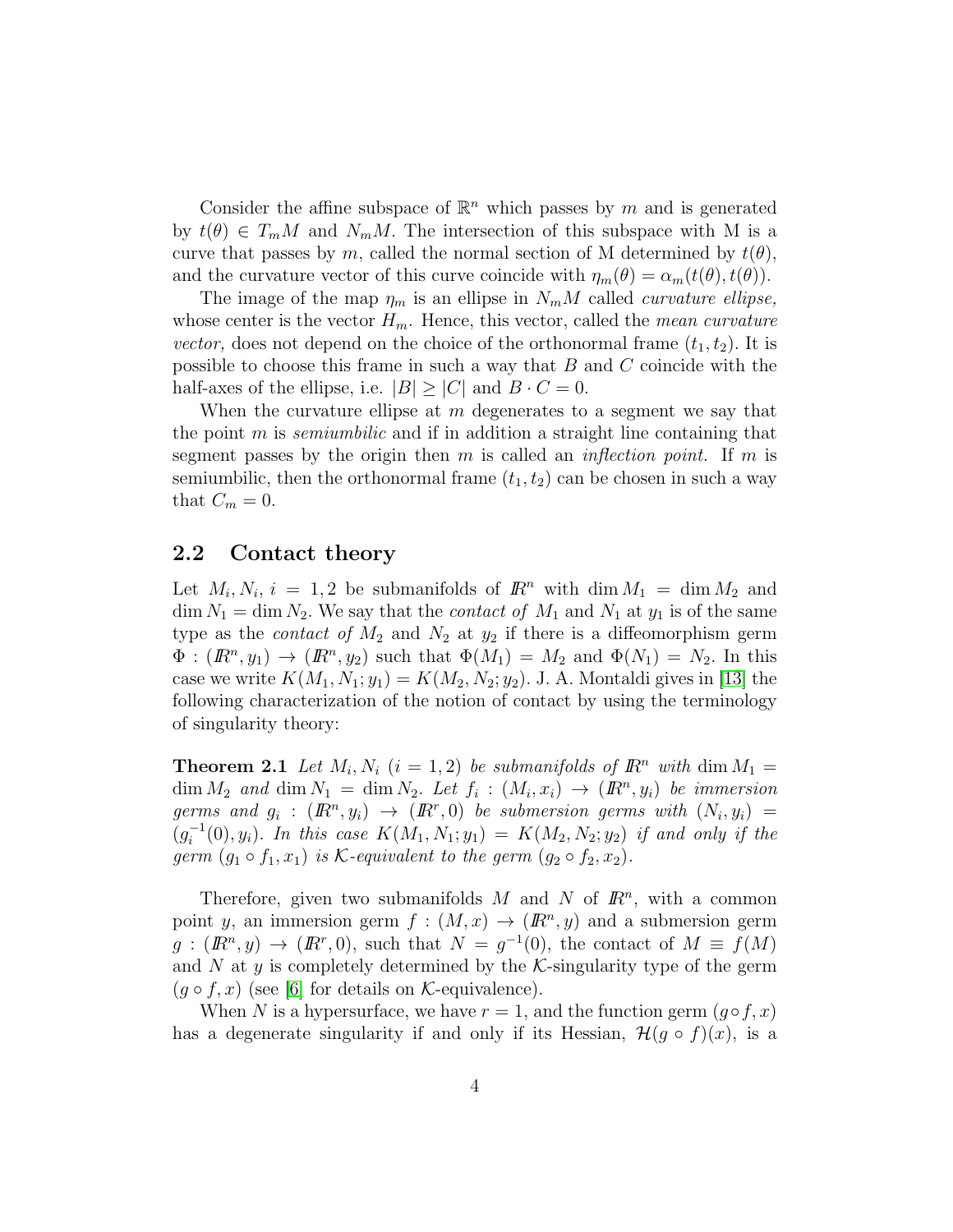Consider the affine subspace of  $\mathbb{R}^n$  which passes by m and is generated by  $t(\theta) \in T_m M$  and  $N_m M$ . The intersection of this subspace with M is a curve that passes by m, called the normal section of M determined by  $t(\theta)$ , and the curvature vector of this curve coincide with  $\eta_m(\theta) = \alpha_m(t(\theta), t(\theta)).$ 

The image of the map  $\eta_m$  is an ellipse in  $N_mM$  called *curvature ellipse*, whose center is the vector  $H_m$ . Hence, this vector, called the *mean curvature* vector, does not depend on the choice of the orthonormal frame  $(t_1, t_2)$ . It is possible to choose this frame in such a way that B and C coincide with the half-axes of the ellipse, i.e.  $|B| \geq |C|$  and  $B \cdot C = 0$ .

When the curvature ellipse at  $m$  degenerates to a segment we say that the point  $m$  is *semiumbilic* and if in addition a straight line containing that segment passes by the origin then m is called an *inflection point*. If m is semiumbilic, then the orthonormal frame  $(t_1, t_2)$  can be chosen in such a way that  $C_m = 0$ .

#### 2.2 Contact theory

Let  $M_i, N_i, i = 1, 2$  be submanifolds of  $\mathbb{R}^n$  with dim  $M_1 = \dim M_2$  and  $\dim N_1 = \dim N_2$ . We say that the *contact of*  $M_1$  and  $N_1$  at  $y_1$  is of the same type as the *contact of*  $M_2$  and  $N_2$  at  $y_2$  if there is a diffeomorphism germ  $\Phi: (I\!\!R^n, y_1) \to (I\!\!R^n, y_2)$  such that  $\Phi(M_1) = M_2$  and  $\Phi(N_1) = N_2$ . In this case we write  $K(M_1, N_1; y_1) = K(M_2, N_2; y_2)$ . J. A. Montaldi gives in [\[13\]](#page-26-4) the following characterization of the notion of contact by using the terminology of singularity theory:

**Theorem 2.1** Let  $M_i$ ,  $N_i$   $(i = 1, 2)$  be submanifolds of  $\mathbb{R}^n$  with  $\dim M_1 =$  $\dim M_2$  and  $\dim N_1 = \dim N_2$ . Let  $f_i : (M_i, x_i) \to (I\!\!R^n, y_i)$  be immersion germs and  $g_i: (I\!\!R^n, y_i) \rightarrow (I\!\!R^r, 0)$  be submersion germs with  $(N_i, y_i) =$  $(g_i^{-1})$  $i_{i}^{-1}(0), y_{i}$ ). In this case  $K(M_1, N_1; y_1) = K(M_2, N_2; y_2)$  if and only if the germ  $(g_1 \circ f_1, x_1)$  is K-equivalent to the germ  $(g_2 \circ f_2, x_2)$ .

Therefore, given two submanifolds  $M$  and  $N$  of  $\mathbb{R}^n$ , with a common point y, an immersion germ  $f : (M, x) \to (I\!\!R^n, y)$  and a submersion germ  $g:(\mathbb{R}^n,y)\to(\mathbb{R}^n,0)$ , such that  $N=g^{-1}(0)$ , the contact of  $M\equiv f(M)$ and N at y is completely determined by the  $K$ -singularity type of the germ  $(g \circ f, x)$  (see [\[6\]](#page-25-0) for details on *K*-equivalence).

When N is a hypersurface, we have  $r = 1$ , and the function germ  $(g \circ f, x)$ has a degenerate singularity if and only if its Hessian,  $\mathcal{H}(g \circ f)(x)$ , is a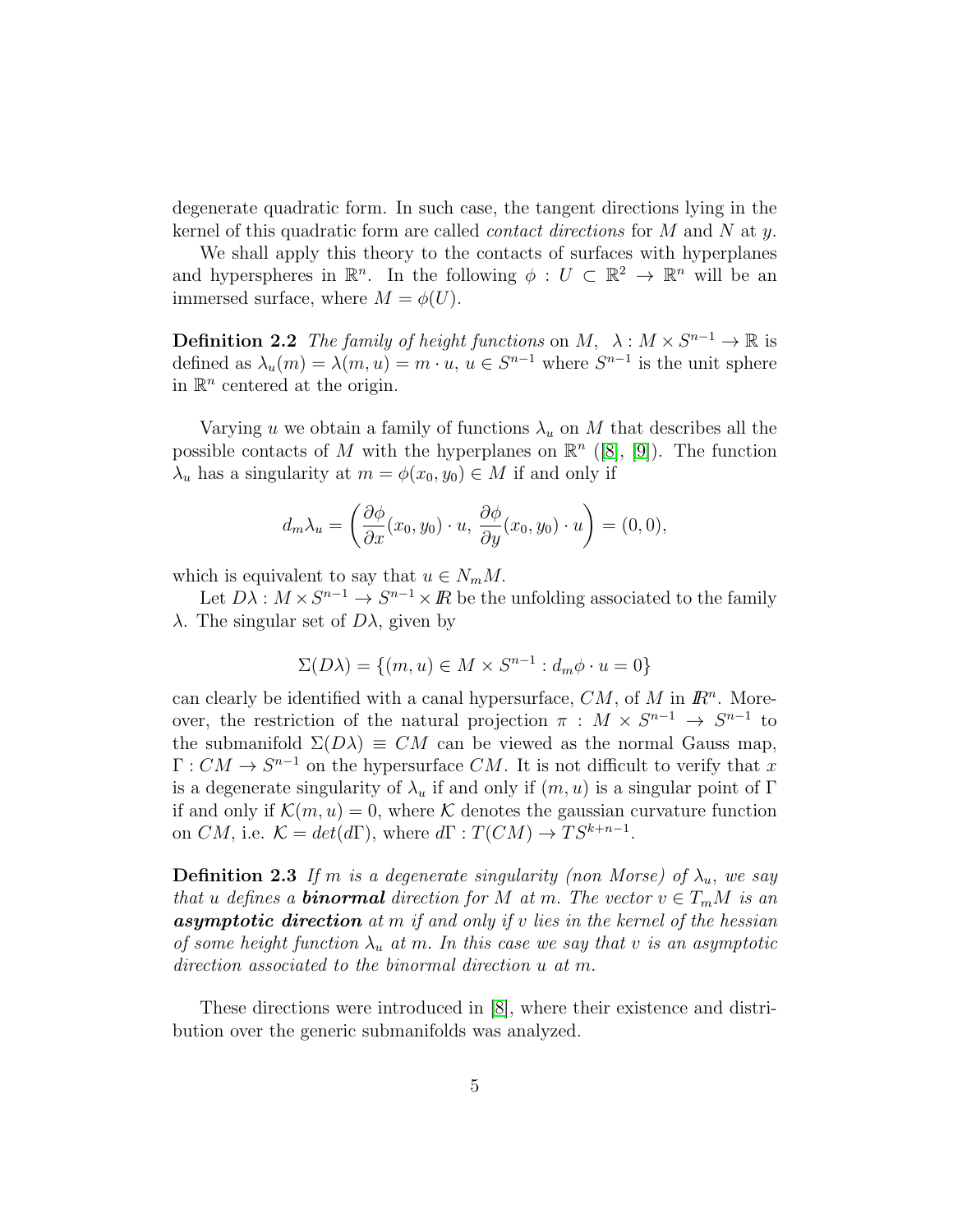degenerate quadratic form. In such case, the tangent directions lying in the kernel of this quadratic form are called *contact directions* for  $M$  and  $N$  at  $y$ .

We shall apply this theory to the contacts of surfaces with hyperplanes and hyperspheres in  $\mathbb{R}^n$ . In the following  $\phi: U \subset \mathbb{R}^2 \to \mathbb{R}^n$  will be an immersed surface, where  $M = \phi(U)$ .

**Definition 2.2** The family of height functions on  $M$ ,  $\lambda : M \times S^{n-1} \to \mathbb{R}$  is defined as  $\lambda_u(m) = \lambda(m, u) = m \cdot u$ ,  $u \in S^{n-1}$  where  $S^{n-1}$  is the unit sphere in  $\mathbb{R}^n$  centered at the origin.

Varying u we obtain a family of functions  $\lambda_u$  on M that describes all the possible contacts of M with the hyperplanes on  $\mathbb{R}^n$  ([\[8\]](#page-26-5), [\[9\]](#page-26-3)). The function  $\lambda_u$  has a singularity at  $m = \phi(x_0, y_0) \in M$  if and only if

$$
d_m \lambda_u = \left(\frac{\partial \phi}{\partial x}(x_0, y_0) \cdot u, \frac{\partial \phi}{\partial y}(x_0, y_0) \cdot u\right) = (0, 0),
$$

which is equivalent to say that  $u \in N_m M$ .

Let  $D\lambda : M \times S^{n-1} \to S^{n-1} \times \mathbb{R}$  be the unfolding associated to the family  $λ$ . The singular set of  $Dλ$ , given by

$$
\Sigma(D\lambda) = \{(m, u) \in M \times S^{n-1} : d_m \phi \cdot u = 0\}
$$

can clearly be identified with a canal hypersurface,  $CM$ , of M in  $\mathbb{R}^n$ . Moreover, the restriction of the natural projection  $\pi : M \times S^{n-1} \to S^{n-1}$  to the submanifold  $\Sigma(D\lambda) \equiv CM$  can be viewed as the normal Gauss map,  $\Gamma: CM \to S^{n-1}$  on the hypersurface  $CM$ . It is not difficult to verify that x is a degenerate singularity of  $\lambda_u$  if and only if  $(m, u)$  is a singular point of Γ if and only if  $\mathcal{K}(m, u) = 0$ , where K denotes the gaussian curvature function on  $CM$ , i.e.  $K = det(d\Gamma)$ , where  $d\Gamma : T(CM) \to TS^{k+n-1}$ .

**Definition 2.3** If m is a degenerate singularity (non Morse) of  $\lambda_u$ , we say that u defines a **binormal** direction for M at m. The vector  $v \in T_mM$  is an **asymptotic direction** at  $m$  if and only if  $v$  lies in the kernel of the hessian of some height function  $\lambda_u$  at m. In this case we say that v is an asymptotic direction associated to the binormal direction u at m.

These directions were introduced in [\[8\]](#page-26-5), where their existence and distribution over the generic submanifolds was analyzed.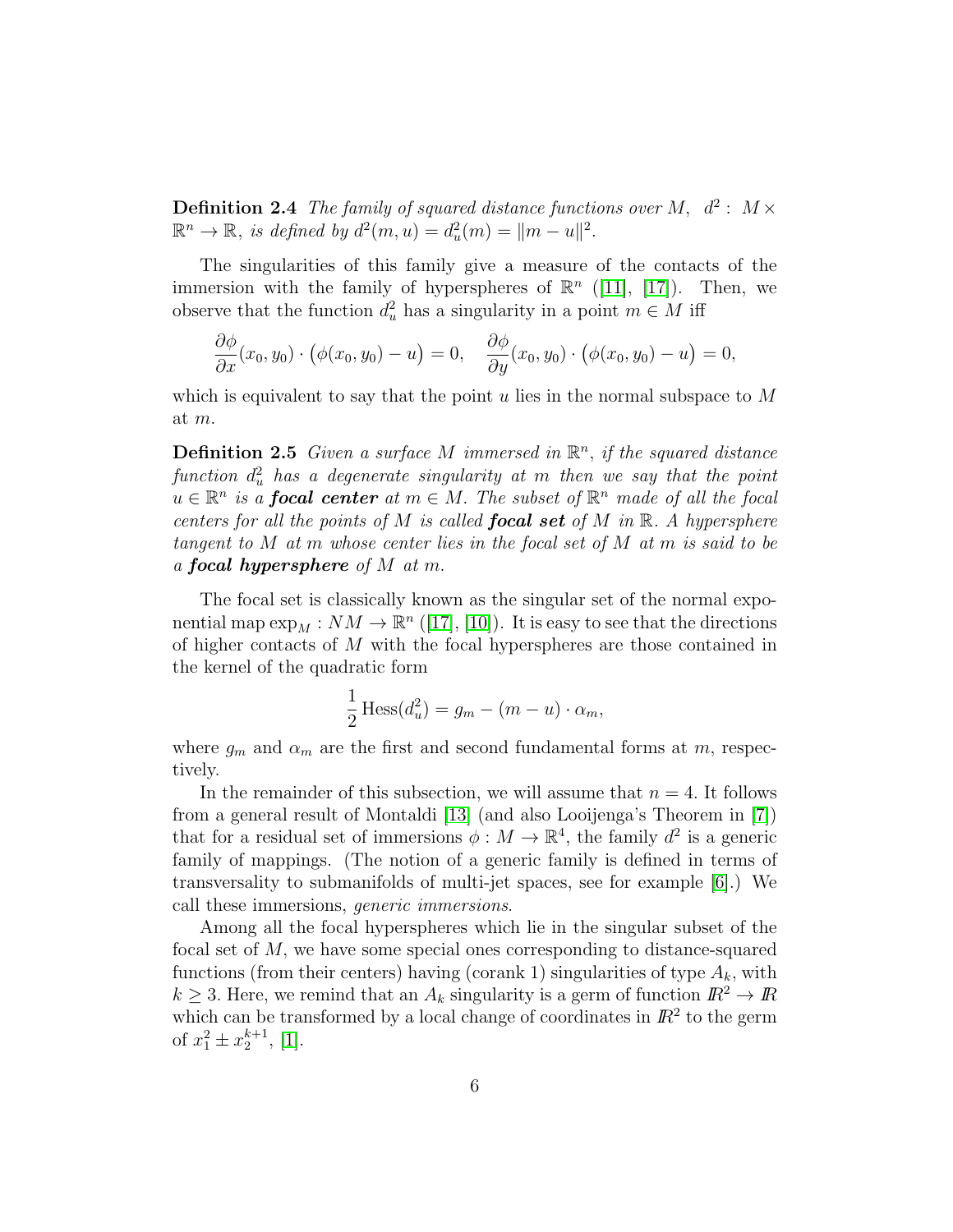**Definition 2.4** The family of squared distance functions over M,  $d^2$ :  $M \times$  $\mathbb{R}^n \to \mathbb{R}$ , is defined by  $d^2(m, u) = d_u^2(m) = ||m - u||^2$ .

The singularities of this family give a measure of the contacts of the immersion with the family of hyperspheres of  $\mathbb{R}^n$  ([\[11\]](#page-26-1), [\[17\]](#page-26-0)). Then, we observe that the function  $d_u^2$  has a singularity in a point  $m \in M$  iff

$$
\frac{\partial \phi}{\partial x}(x_0, y_0) \cdot (\phi(x_0, y_0) - u) = 0, \quad \frac{\partial \phi}{\partial y}(x_0, y_0) \cdot (\phi(x_0, y_0) - u) = 0,
$$

which is equivalent to say that the point u lies in the normal subspace to  $M$ at m.

**Definition 2.5** Given a surface M immersed in  $\mathbb{R}^n$ , if the squared distance  $\emph{function}~~d^2_u$  has a degenerate singularity at m then we say that the point  $u \in \mathbb{R}^n$  is a **focal center** at  $m \in M$ . The subset of  $\mathbb{R}^n$  made of all the focal centers for all the points of M is called **focal set** of M in  $\mathbb{R}$ . A hypersphere tangent to M at m whose center lies in the focal set of M at m is said to be a **focal hypersphere** of M at m.

The focal set is classically known as the singular set of the normal exponential map  $\exp_M : NM \to \mathbb{R}^n$  ([\[17\]](#page-26-0), [\[10\]](#page-26-6)). It is easy to see that the directions of higher contacts of M with the focal hyperspheres are those contained in the kernel of the quadratic form

$$
\frac{1}{2} \text{Hess}(d_u^2) = g_m - (m - u) \cdot \alpha_m,
$$

where  $g_m$  and  $\alpha_m$  are the first and second fundamental forms at m, respectively.

In the remainder of this subsection, we will assume that  $n = 4$ . It follows from a general result of Montaldi [\[13\]](#page-26-4) (and also Looijenga's Theorem in [\[7\]](#page-25-1)) that for a residual set of immersions  $\phi: M \to \mathbb{R}^4$ , the family  $d^2$  is a generic family of mappings. (The notion of a generic family is defined in terms of transversality to submanifolds of multi-jet spaces, see for example [\[6\]](#page-25-0).) We call these immersions, generic immersions.

<span id="page-5-0"></span>Among all the focal hyperspheres which lie in the singular subset of the focal set of M, we have some special ones corresponding to distance-squared functions (from their centers) having (corank 1) singularities of type  $A_k$ , with  $k \geq 3$ . Here, we remind that an  $A_k$  singularity is a germ of function  $\mathbb{R}^2 \to \mathbb{R}$ which can be transformed by a local change of coordinates in  $\mathbb{R}^2$  to the germ of  $x_1^2 \pm x_2^{k+1}$ , [\[1\]](#page-25-2).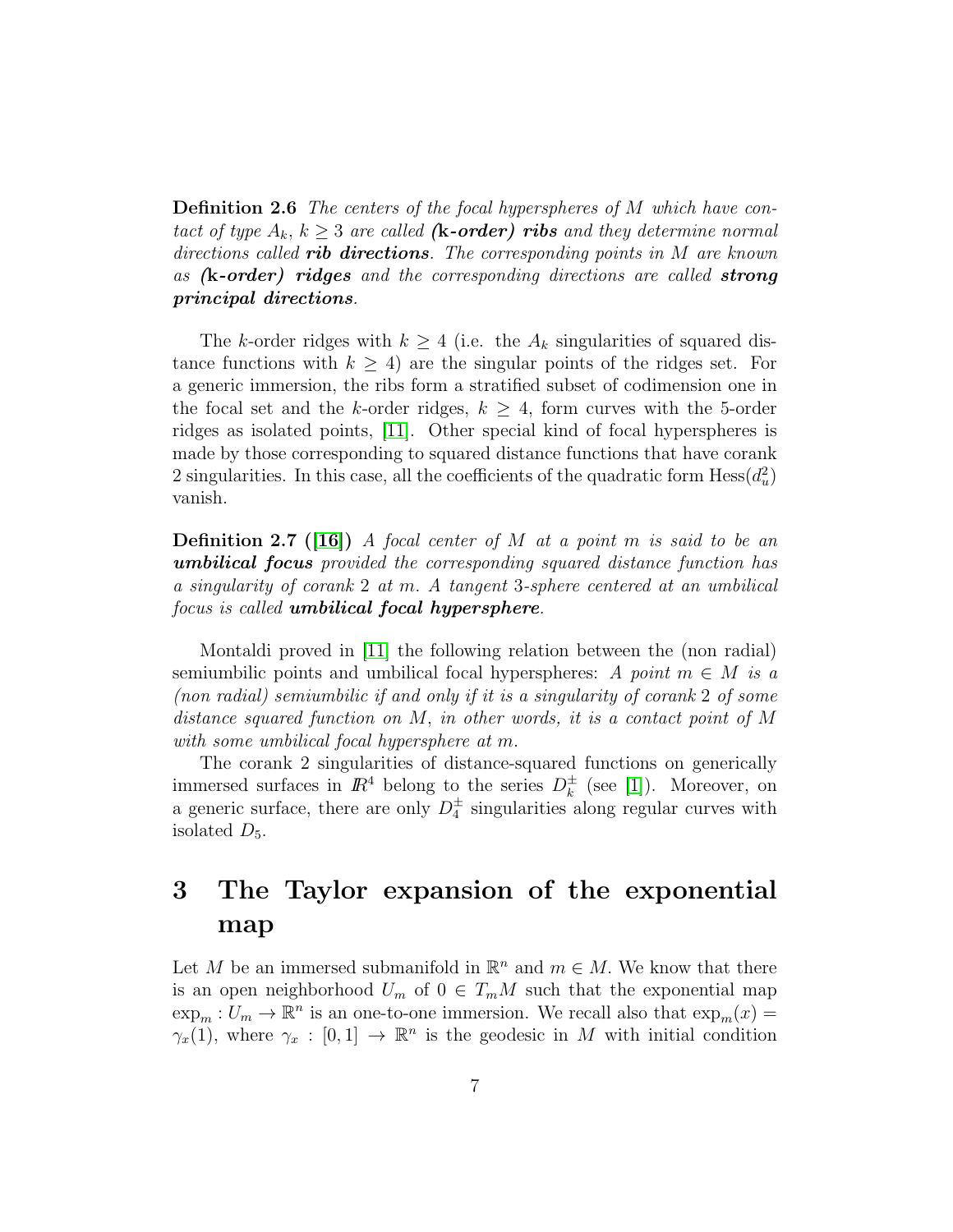Definition 2.6 The centers of the focal hyperspheres of M which have contact of type  $A_k$ ,  $k \geq 3$  are called (**k-order**) ribs and they determine normal directions called **rib directions**. The corresponding points in  $M$  are known as  $(k-order)$  ridges and the corresponding directions are called strong principal directions.

The k-order ridges with  $k \geq 4$  (i.e. the  $A_k$  singularities of squared distance functions with  $k \geq 4$ ) are the singular points of the ridges set. For a generic immersion, the ribs form a stratified subset of codimension one in the focal set and the k-order ridges,  $k \geq 4$ , form curves with the 5-order ridges as isolated points, [\[11\]](#page-26-1). Other special kind of focal hyperspheres is made by those corresponding to squared distance functions that have corank 2 singularities. In this case, all the coefficients of the quadratic form  $Hess(d_u^2)$ vanish.

<span id="page-6-0"></span>**Definition 2.7** ([\[16\]](#page-26-7)) A focal center of M at a point m is said to be an umbilical focus provided the corresponding squared distance function has a singularity of corank 2 at m. A tangent 3-sphere centered at an umbilical focus is called umbilical focal hypersphere.

Montaldi proved in [\[11\]](#page-26-1) the following relation between the (non radial) semiumbilic points and umbilical focal hyperspheres: A point  $m \in M$  is a (non radial) semiumbilic if and only if it is a singularity of corank 2 of some distance squared function on M, in other words, it is a contact point of M with some umbilical focal hypersphere at m.

The corank 2 singularities of distance-squared functions on generically immersed surfaces in  $\mathbb{R}^4$  belong to the series  $D_k^{\pm}$  $\frac{1}{k}$  (see [\[1\]](#page-25-2)). Moreover, on a generic surface, there are only  $D_4^{\pm}$  singularities along regular curves with isolated  $D_5$ .

# 3 The Taylor expansion of the exponential map

Let M be an immersed submanifold in  $\mathbb{R}^n$  and  $m \in M$ . We know that there is an open neighborhood  $U_m$  of  $0 \in T_mM$  such that the exponential map  $\exp_m: U_m \to \mathbb{R}^n$  is an one-to-one immersion. We recall also that  $\exp_m(x) =$  $\gamma_x(1)$ , where  $\gamma_x : [0,1] \to \mathbb{R}^n$  is the geodesic in M with initial condition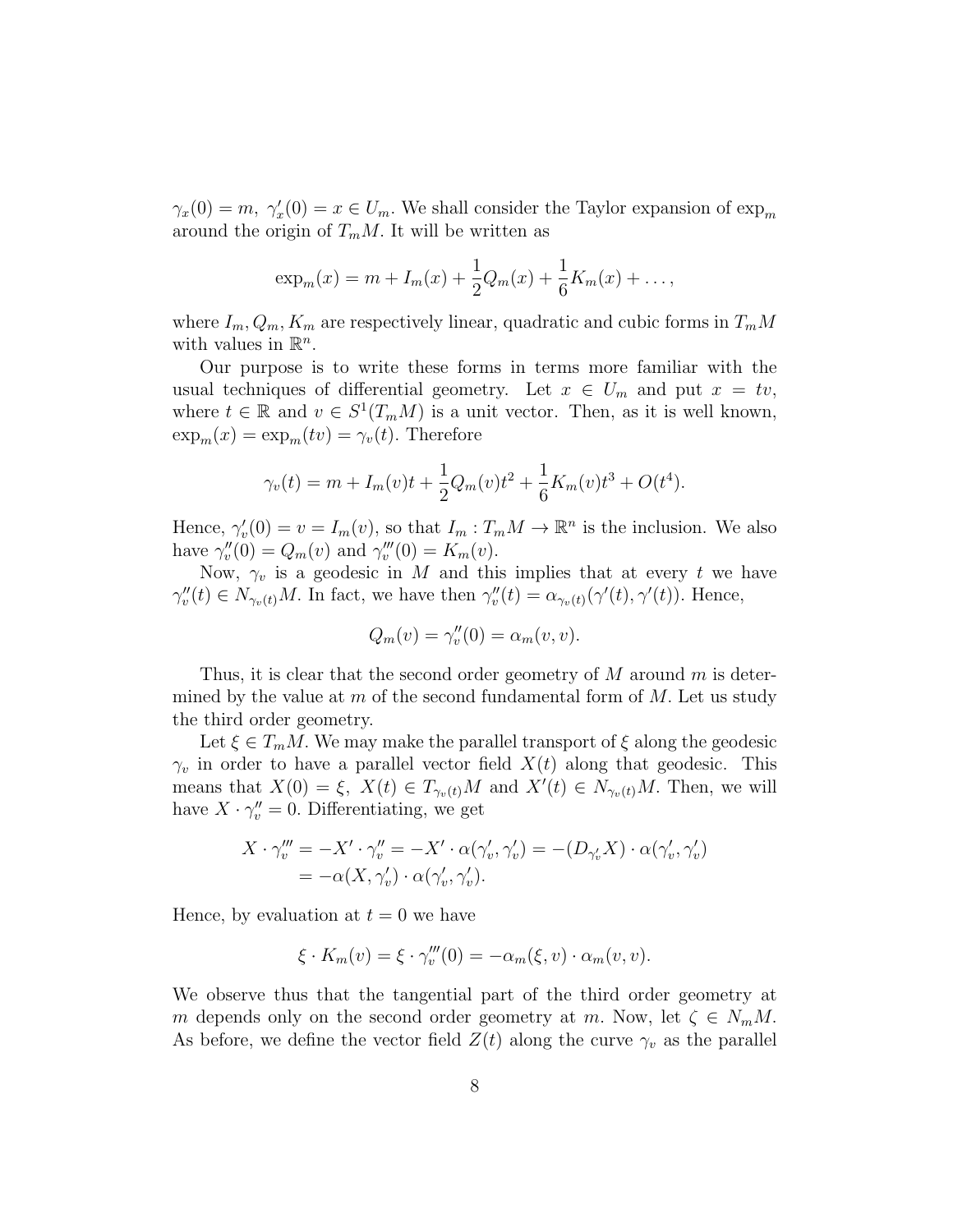$\gamma_x(0) = m, \ \gamma'_x(0) = x \in U_m.$  We shall consider the Taylor expansion of  $\exp_m$ around the origin of  $T_mM$ . It will be written as

$$
\exp_m(x) = m + I_m(x) + \frac{1}{2}Q_m(x) + \frac{1}{6}K_m(x) + \dots,
$$

where  $I_m, Q_m, K_m$  are respectively linear, quadratic and cubic forms in  $T_mM$ with values in  $\mathbb{R}^n$ .

Our purpose is to write these forms in terms more familiar with the usual techniques of differential geometry. Let  $x \in U_m$  and put  $x = tv$ , where  $t \in \mathbb{R}$  and  $v \in S^1(T_mM)$  is a unit vector. Then, as it is well known,  $\exp_m(x) = \exp_m(tv) = \gamma_v(t)$ . Therefore

$$
\gamma_v(t) = m + I_m(v)t + \frac{1}{2}Q_m(v)t^2 + \frac{1}{6}K_m(v)t^3 + O(t^4).
$$

Hence,  $\gamma'_v(0) = v = I_m(v)$ , so that  $I_m: T_mM \to \mathbb{R}^n$  is the inclusion. We also have  $\gamma''_v(0) = Q_m(v)$  and  $\gamma'''_v(0) = K_m(v)$ .

Now,  $\gamma_v$  is a geodesic in M and this implies that at every t we have  $\gamma''_v(t) \in N_{\gamma_v(t)}M$ . In fact, we have then  $\gamma''_v(t) = \alpha_{\gamma_v(t)}(\gamma'(t), \gamma'(t))$ . Hence,

$$
Q_m(v) = \gamma_v''(0) = \alpha_m(v, v).
$$

Thus, it is clear that the second order geometry of  $M$  around  $m$  is determined by the value at m of the second fundamental form of  $M$ . Let us study the third order geometry.

Let  $\xi \in T_mM$ . We may make the parallel transport of  $\xi$  along the geodesic  $\gamma_v$  in order to have a parallel vector field  $X(t)$  along that geodesic. This means that  $X(0) = \xi$ ,  $X(t) \in T_{\gamma_v(t)}M$  and  $X'(t) \in N_{\gamma_v(t)}M$ . Then, we will have  $X \cdot \gamma''_v = 0$ . Differentiating, we get

$$
X \cdot \gamma_v''' = -X' \cdot \gamma_v'' = -X' \cdot \alpha(\gamma_v', \gamma_v') = -(D_{\gamma_v'} X) \cdot \alpha(\gamma_v', \gamma_v')
$$
  
=  $-\alpha(X, \gamma_v') \cdot \alpha(\gamma_v', \gamma_v').$ 

Hence, by evaluation at  $t = 0$  we have

$$
\xi \cdot K_m(v) = \xi \cdot \gamma_v'''(0) = -\alpha_m(\xi, v) \cdot \alpha_m(v, v).
$$

We observe thus that the tangential part of the third order geometry at m depends only on the second order geometry at m. Now, let  $\zeta \in N_mM$ . As before, we define the vector field  $Z(t)$  along the curve  $\gamma_v$  as the parallel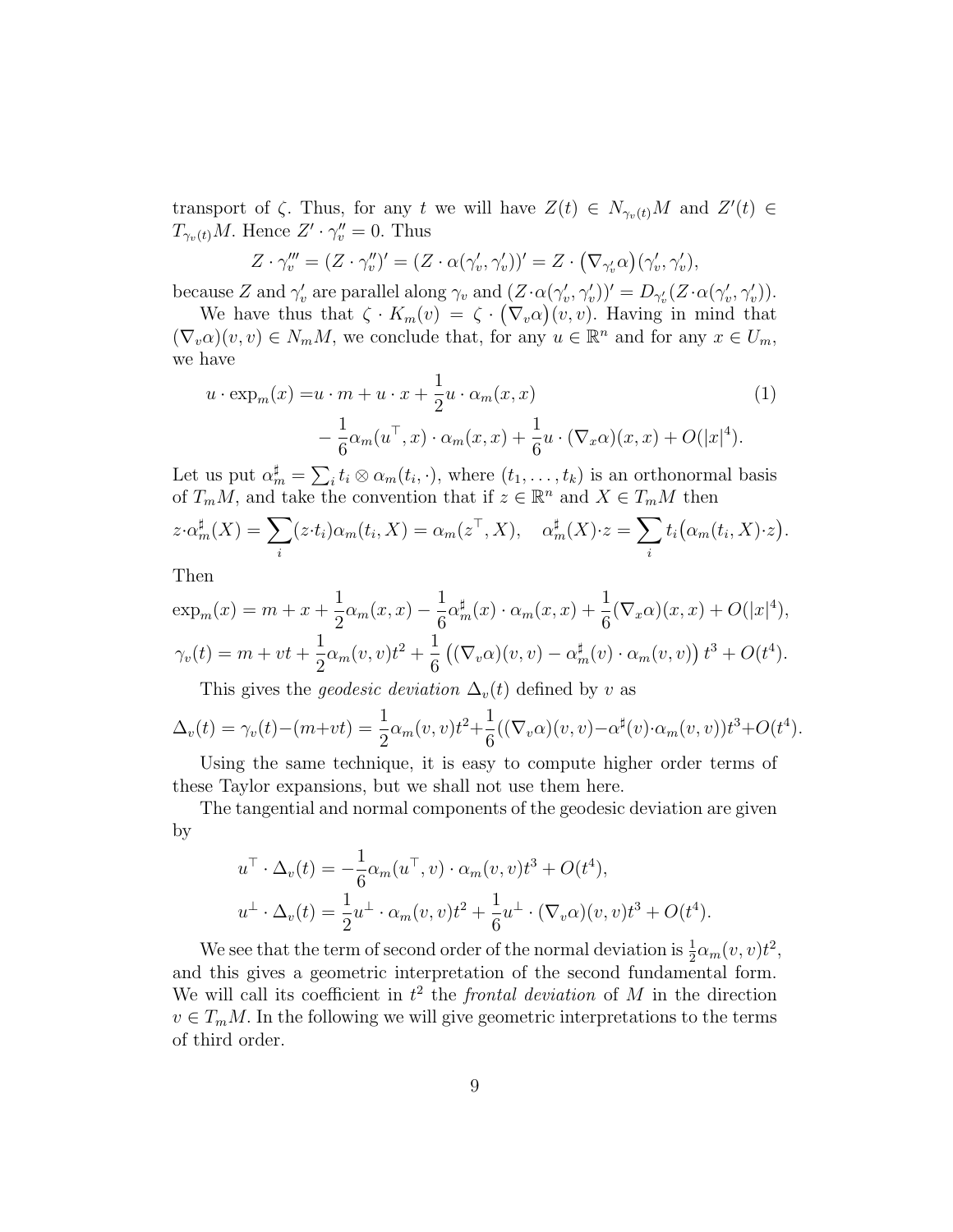transport of  $\zeta$ . Thus, for any t we will have  $Z(t) \in N_{\gamma_v(t)}M$  and  $Z'(t) \in$  $T_{\gamma_v(t)}M$ . Hence  $Z' \cdot \gamma_v'' = 0$ . Thus

$$
Z \cdot \gamma_v''' = (Z \cdot \gamma_v'')' = (Z \cdot \alpha(\gamma_v', \gamma_v'))' = Z \cdot (\nabla_{\gamma_v'} \alpha)(\gamma_v', \gamma_v'),
$$

because Z and  $\gamma'_v$  are parallel along  $\gamma_v$  and  $(Z \cdot \alpha(\gamma'_v, \gamma'_v))' = D_{\gamma'_v}(Z \cdot \alpha(\gamma'_v, \gamma'_v)).$ 

We have thus that  $\zeta \cdot K_m(v) = \zeta \cdot (\nabla_v \alpha)(v, v)$ . Having in mind that  $(\nabla_v \alpha)(v, v) \in N_m M$ , we conclude that, for any  $u \in \mathbb{R}^n$  and for any  $x \in U_m$ , we have

$$
u \cdot \exp_m(x) = u \cdot m + u \cdot x + \frac{1}{2}u \cdot \alpha_m(x, x)
$$
  
- 
$$
\frac{1}{6}\alpha_m(u^\top, x) \cdot \alpha_m(x, x) + \frac{1}{6}u \cdot (\nabla_x \alpha)(x, x) + O(|x|^4).
$$
 (1)

Let us put  $\alpha_m^{\sharp} = \sum_i t_i \otimes \alpha_m(t_i, \cdot)$ , where  $(t_1, \ldots, t_k)$  is an orthonormal basis of  $T_mM$ , and take the convention that if  $z \in \mathbb{R}^n$  and  $X \in T_mM$  then

$$
z \cdot \alpha_m^{\sharp}(X) = \sum_i (z \cdot t_i) \alpha_m(t_i, X) = \alpha_m(z^{\top}, X), \quad \alpha_m^{\sharp}(X) \cdot z = \sum_i t_i (\alpha_m(t_i, X) \cdot z).
$$

Then

$$
\exp_m(x) = m + x + \frac{1}{2}\alpha_m(x, x) - \frac{1}{6}\alpha_m^{\sharp}(x) \cdot \alpha_m(x, x) + \frac{1}{6}(\nabla_x \alpha)(x, x) + O(|x|^4),
$$
  

$$
\gamma_v(t) = m + vt + \frac{1}{2}\alpha_m(v, v)t^2 + \frac{1}{6}((\nabla_v \alpha)(v, v) - \alpha_m^{\sharp}(v) \cdot \alpha_m(v, v))t^3 + O(t^4).
$$

This gives the *geodesic deviation*  $\Delta_v(t)$  defined by v as

$$
\Delta_v(t) = \gamma_v(t) - (m + vt) = \frac{1}{2}\alpha_m(v, v)t^2 + \frac{1}{6}((\nabla_v \alpha)(v, v) - \alpha^{\sharp}(v) \cdot \alpha_m(v, v))t^3 + O(t^4).
$$

Using the same technique, it is easy to compute higher order terms of these Taylor expansions, but we shall not use them here.

The tangential and normal components of the geodesic deviation are given by

$$
u^{\top} \cdot \Delta_v(t) = -\frac{1}{6} \alpha_m(u^{\top}, v) \cdot \alpha_m(v, v)t^3 + O(t^4),
$$
  

$$
u^{\perp} \cdot \Delta_v(t) = \frac{1}{2} u^{\perp} \cdot \alpha_m(v, v)t^2 + \frac{1}{6} u^{\perp} \cdot (\nabla_v \alpha)(v, v)t^3 + O(t^4).
$$

We see that the term of second order of the normal deviation is  $\frac{1}{2} \alpha_m(v, v) t^2$ , and this gives a geometric interpretation of the second fundamental form. We will call its coefficient in  $t^2$  the *frontal deviation* of M in the direction  $v \in T_m M$ . In the following we will give geometric interpretations to the terms of third order.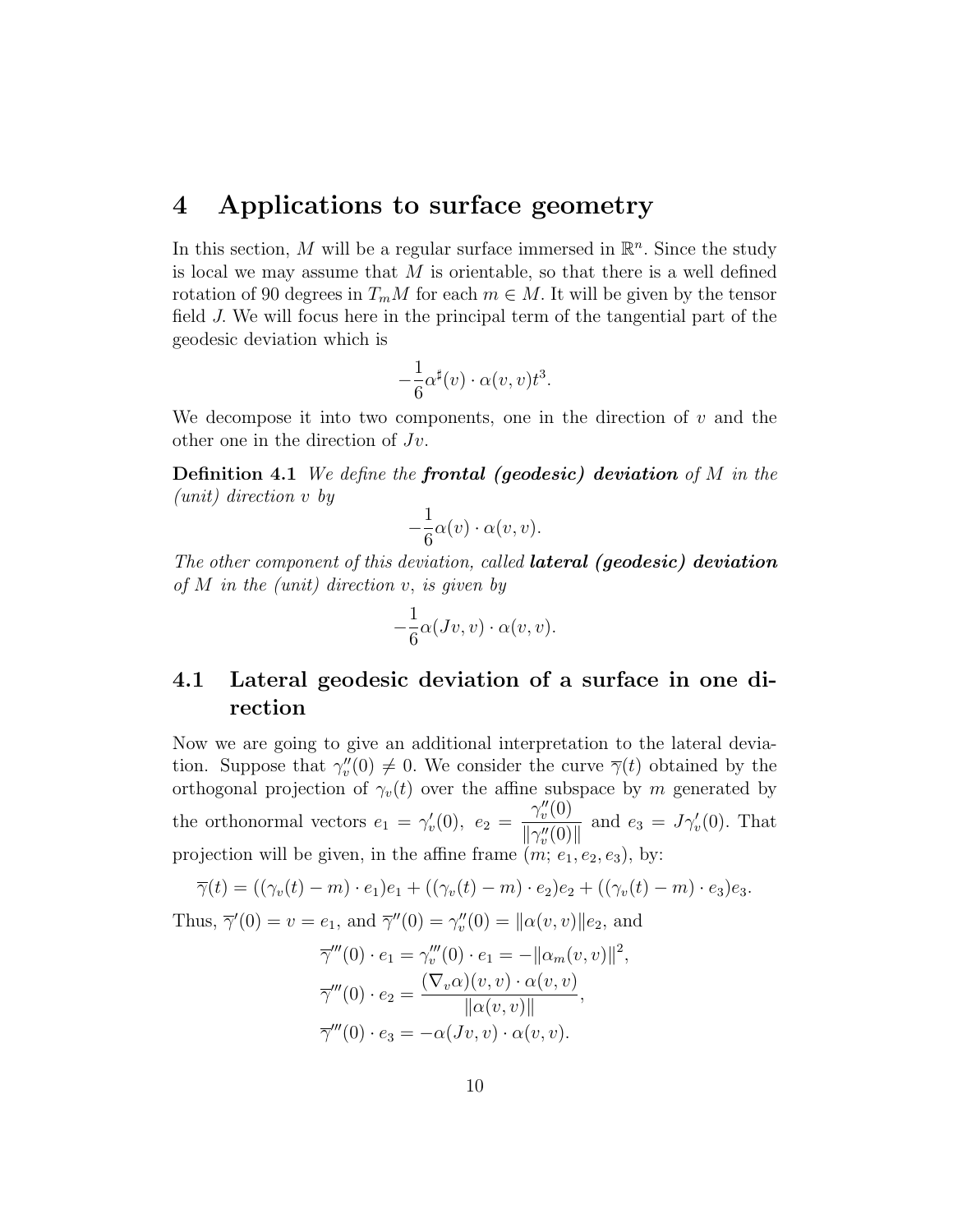## 4 Applications to surface geometry

In this section, M will be a regular surface immersed in  $\mathbb{R}^n$ . Since the study is local we may assume that  $M$  is orientable, so that there is a well defined rotation of 90 degrees in  $T_mM$  for each  $m \in M$ . It will be given by the tensor field J. We will focus here in the principal term of the tangential part of the geodesic deviation which is

$$
-\frac{1}{6}\alpha^{\sharp}(v)\cdot \alpha(v,v)t^{3}.
$$

We decompose it into two components, one in the direction of  $v$  and the other one in the direction of  $Jv$ .

**Definition 4.1** We define the **frontal (geodesic) deviation** of M in the (unit) direction v by

$$
-\frac{1}{6}\alpha(v)\cdot\alpha(v,v).
$$

The other component of this deviation, called **lateral** (geodesic) deviation of M in the (unit) direction  $v$ , is given by

$$
-\frac{1}{6}\alpha(Jv,v)\cdot\alpha(v,v).
$$

#### 4.1 Lateral geodesic deviation of a surface in one direction

Now we are going to give an additional interpretation to the lateral deviation. Suppose that  $\gamma''_v(0) \neq 0$ . We consider the curve  $\overline{\gamma}(t)$  obtained by the orthogonal projection of  $\gamma_v(t)$  over the affine subspace by m generated by the orthonormal vectors  $e_1 = \gamma'_v(0)$ ,  $e_2 =$  $\gamma''_v(0)$  $\frac{v(\mathbf{v})}{\|\gamma''_v(0)\|}$  and  $e_3 = J\gamma'_v(0)$ . That projection will be given, in the affine frame  $(m; e_1, e_2, e_3)$ , by:

$$
\overline{\gamma}(t) = ((\gamma_v(t) - m) \cdot e_1)e_1 + ((\gamma_v(t) - m) \cdot e_2)e_2 + ((\gamma_v(t) - m) \cdot e_3)e_3.
$$

Thus,  $\bar{\gamma}'(0) = v = e_1$ , and  $\bar{\gamma}''(0) = \gamma''_v(0) = ||\alpha(v, v)||e_2$ , and

$$
\overline{\gamma}'''(0) \cdot e_1 = \gamma_v'''(0) \cdot e_1 = -||\alpha_m(v, v)||^2,
$$
  

$$
\overline{\gamma}'''(0) \cdot e_2 = \frac{(\nabla_v \alpha)(v, v) \cdot \alpha(v, v)}{||\alpha(v, v)||},
$$
  

$$
\overline{\gamma}'''(0) \cdot e_3 = -\alpha(Jv, v) \cdot \alpha(v, v).
$$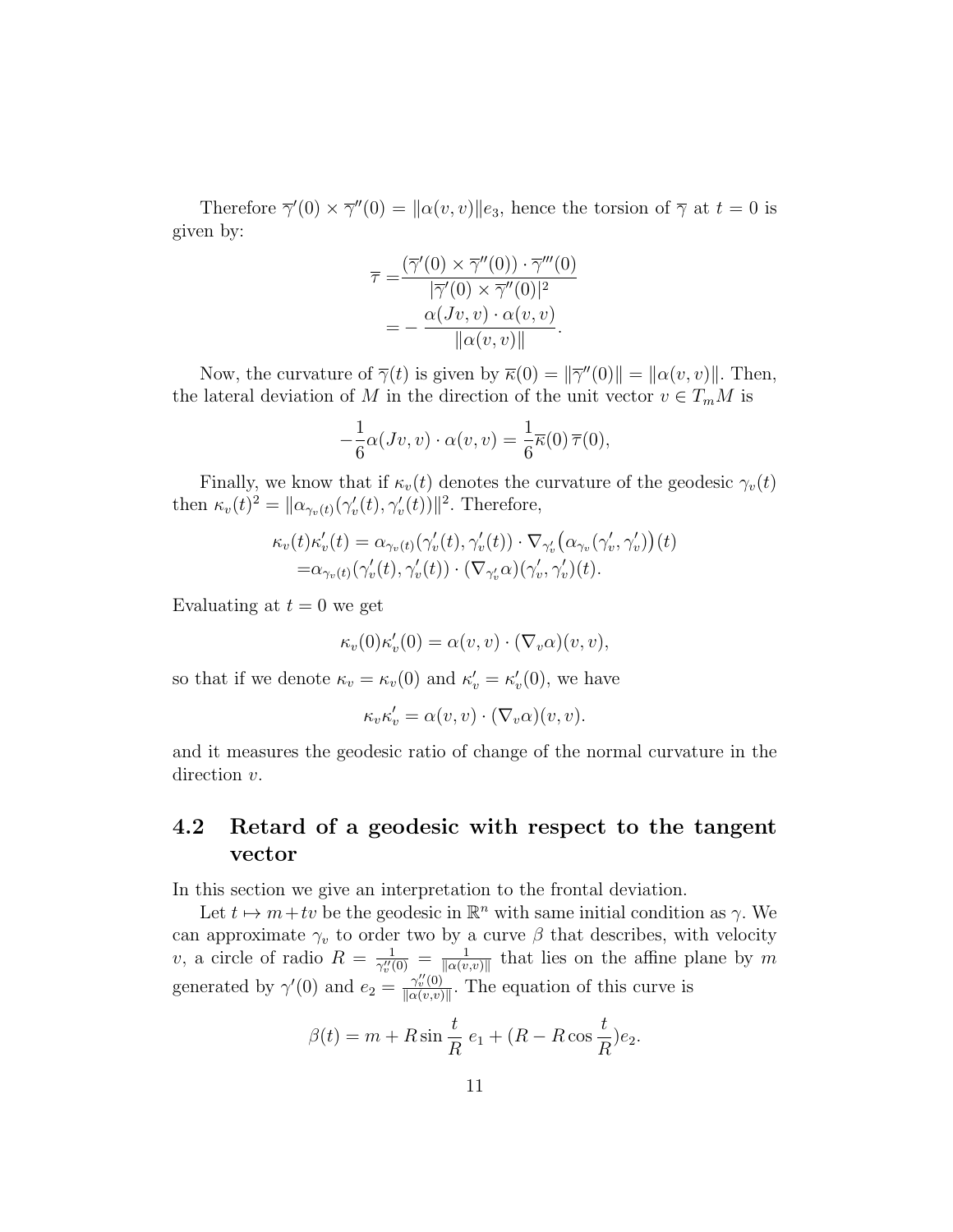Therefore  $\overline{\gamma}'(0) \times \overline{\gamma}''(0) = ||\alpha(v, v)||e_3$ , hence the torsion of  $\overline{\gamma}$  at  $t = 0$  is given by:

$$
\overline{\tau} = \frac{(\overline{\gamma}'(0) \times \overline{\gamma}''(0)) \cdot \overline{\gamma}'''(0)}{|\overline{\gamma}'(0) \times \overline{\gamma}''(0)|^2}
$$

$$
= -\frac{\alpha(Jv, v) \cdot \alpha(v, v)}{||\alpha(v, v)||}.
$$

Now, the curvature of  $\overline{\gamma}(t)$  is given by  $\overline{\kappa}(0) = ||\overline{\gamma}''(0)|| = ||\alpha(v, v)||$ . Then, the lateral deviation of M in the direction of the unit vector  $v \in T_mM$  is

$$
-\frac{1}{6}\alpha(Jv,v)\cdot\alpha(v,v)=\frac{1}{6}\overline{\kappa}(0)\,\overline{\tau}(0),
$$

Finally, we know that if  $\kappa_v(t)$  denotes the curvature of the geodesic  $\gamma_v(t)$ then  $\kappa_v(t)^2 = \|\alpha_{\gamma_v(t)}(\gamma_v'(t), \gamma_v'(t))\|^2$ . Therefore,

$$
\kappa_v(t)\kappa'_v(t) = \alpha_{\gamma_v(t)}(\gamma'_v(t), \gamma'_v(t)) \cdot \nabla_{\gamma'_v}(\alpha_{\gamma_v}(\gamma'_v, \gamma'_v))(t)
$$
  
=  $\alpha_{\gamma_v(t)}(\gamma'_v(t), \gamma'_v(t)) \cdot (\nabla_{\gamma'_v} \alpha)(\gamma'_v, \gamma'_v)(t).$ 

Evaluating at  $t = 0$  we get

$$
\kappa_v(0)\kappa'_v(0) = \alpha(v,v) \cdot (\nabla_v \alpha)(v,v),
$$

so that if we denote  $\kappa_v = \kappa_v(0)$  and  $\kappa'_v = \kappa'_v(0)$ , we have

$$
\kappa_v \kappa'_v = \alpha(v, v) \cdot (\nabla_v \alpha)(v, v).
$$

and it measures the geodesic ratio of change of the normal curvature in the direction  $v$ .

#### 4.2 Retard of a geodesic with respect to the tangent vector

In this section we give an interpretation to the frontal deviation.

Let  $t \mapsto m+tv$  be the geodesic in  $\mathbb{R}^n$  with same initial condition as  $\gamma$ . We can approximate  $\gamma_v$  to order two by a curve  $\beta$  that describes, with velocity v, a circle of radio  $R = \frac{1}{\gamma''}$  $\frac{1}{\gamma_v''(0)} = \frac{1}{\|\alpha(v)}$  $\frac{1}{\|\alpha(v,v)\|}$  that lies on the affine plane by m generated by  $\gamma'(0)$  and  $e_2 = \frac{\gamma''(0)}{\log(n,v)}$  $\frac{\gamma_v^{\cdots}(0)}{\|\alpha(v,v)\|}$ . The equation of this curve is

$$
\beta(t) = m + R \sin \frac{t}{R} e_1 + (R - R \cos \frac{t}{R}) e_2.
$$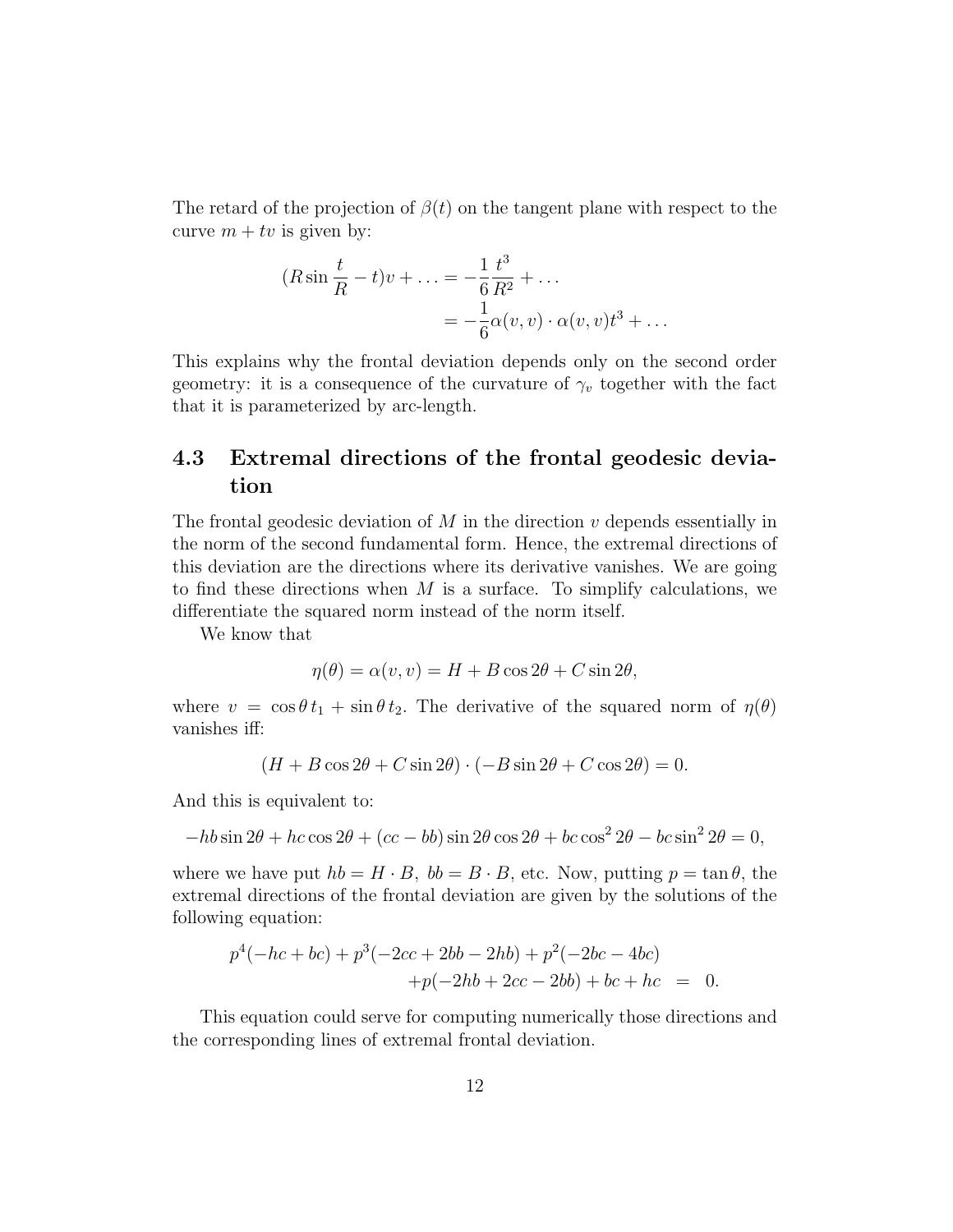The retard of the projection of  $\beta(t)$  on the tangent plane with respect to the curve  $m + tv$  is given by:

$$
(R\sin\frac{t}{R} - t)v + \dots = -\frac{1}{6}\frac{t^3}{R^2} + \dots
$$
  
=  $-\frac{1}{6}\alpha(v, v) \cdot \alpha(v, v)t^3 + \dots$ 

This explains why the frontal deviation depends only on the second order geometry: it is a consequence of the curvature of  $\gamma_v$  together with the fact that it is parameterized by arc-length.

#### 4.3 Extremal directions of the frontal geodesic deviation

The frontal geodesic deviation of  $M$  in the direction  $v$  depends essentially in the norm of the second fundamental form. Hence, the extremal directions of this deviation are the directions where its derivative vanishes. We are going to find these directions when  $M$  is a surface. To simplify calculations, we differentiate the squared norm instead of the norm itself.

We know that

$$
\eta(\theta) = \alpha(v, v) = H + B\cos 2\theta + C\sin 2\theta,
$$

where  $v = \cos \theta t_1 + \sin \theta t_2$ . The derivative of the squared norm of  $\eta(\theta)$ vanishes iff:

$$
(H + B\cos 2\theta + C\sin 2\theta) \cdot (-B\sin 2\theta + C\cos 2\theta) = 0.
$$

And this is equivalent to:

$$
-hb\sin 2\theta + hc\cos 2\theta + (cc - bb)\sin 2\theta\cos 2\theta + bc\cos^2 2\theta - bc\sin^2 2\theta = 0,
$$

where we have put  $hb = H \cdot B$ ,  $bb = B \cdot B$ , etc. Now, putting  $p = \tan \theta$ , the extremal directions of the frontal deviation are given by the solutions of the following equation:

$$
p4(-hc + bc) + p3(-2cc + 2bb - 2hb) + p2(-2bc - 4bc) +p(-2hb + 2cc - 2bb) + bc + hc = 0.
$$

This equation could serve for computing numerically those directions and the corresponding lines of extremal frontal deviation.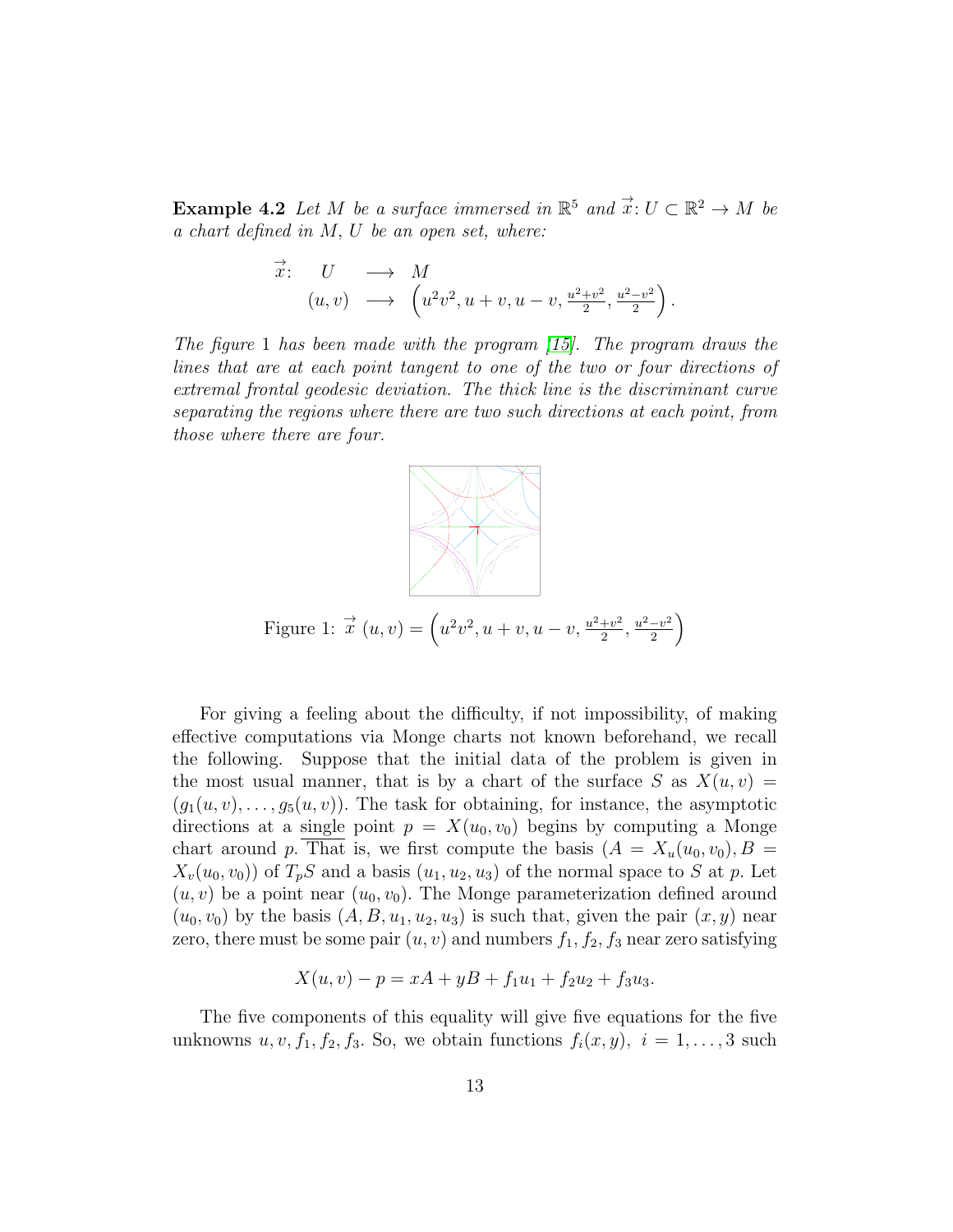**Example 4.2** Let M be a surface immersed in  $\mathbb{R}^5$  and  $\vec{x}$ :  $U \subset \mathbb{R}^2 \to M$  be a chart defined in M, U be an open set, where:

$$
\vec{x}:\quad U\quad \longrightarrow\quad M(u,v)\quad \longrightarrow\quad \left(u^2v^2,u+v,u-v,\frac{u^2+v^2}{2},\frac{u^2-v^2}{2}\right).
$$

The figure 1 has been made with the program  $[15]$ . The program draws the lines that are at each point tangent to one of the two or four directions of extremal frontal geodesic deviation. The thick line is the discriminant curve separating the regions where there are two such directions at each point, from those where there are four.



For giving a feeling about the difficulty, if not impossibility, of making effective computations via Monge charts not known beforehand, we recall the following. Suppose that the initial data of the problem is given in the most usual manner, that is by a chart of the surface S as  $X(u, v) =$  $(g_1(u, v), \ldots, g_5(u, v))$ . The task for obtaining, for instance, the asymptotic directions at a single point  $p = X(u_0, v_0)$  begins by computing a Monge chart around p. That is, we first compute the basis  $(A = X_u(u_0, v_0), B =$  $X_v(u_0, v_0)$  of  $T_pS$  and a basis  $(u_1, u_2, u_3)$  of the normal space to S at p. Let  $(u, v)$  be a point near  $(u_0, v_0)$ . The Monge parameterization defined around  $(u_0, v_0)$  by the basis  $(A, B, u_1, u_2, u_3)$  is such that, given the pair  $(x, y)$  near zero, there must be some pair  $(u, v)$  and numbers  $f_1, f_2, f_3$  near zero satisfying

$$
X(u, v) - p = xA + yB + f1u1 + f2u2 + f3u3.
$$

The five components of this equality will give five equations for the five unknowns  $u, v, f_1, f_2, f_3$ . So, we obtain functions  $f_i(x, y), i = 1, \ldots, 3$  such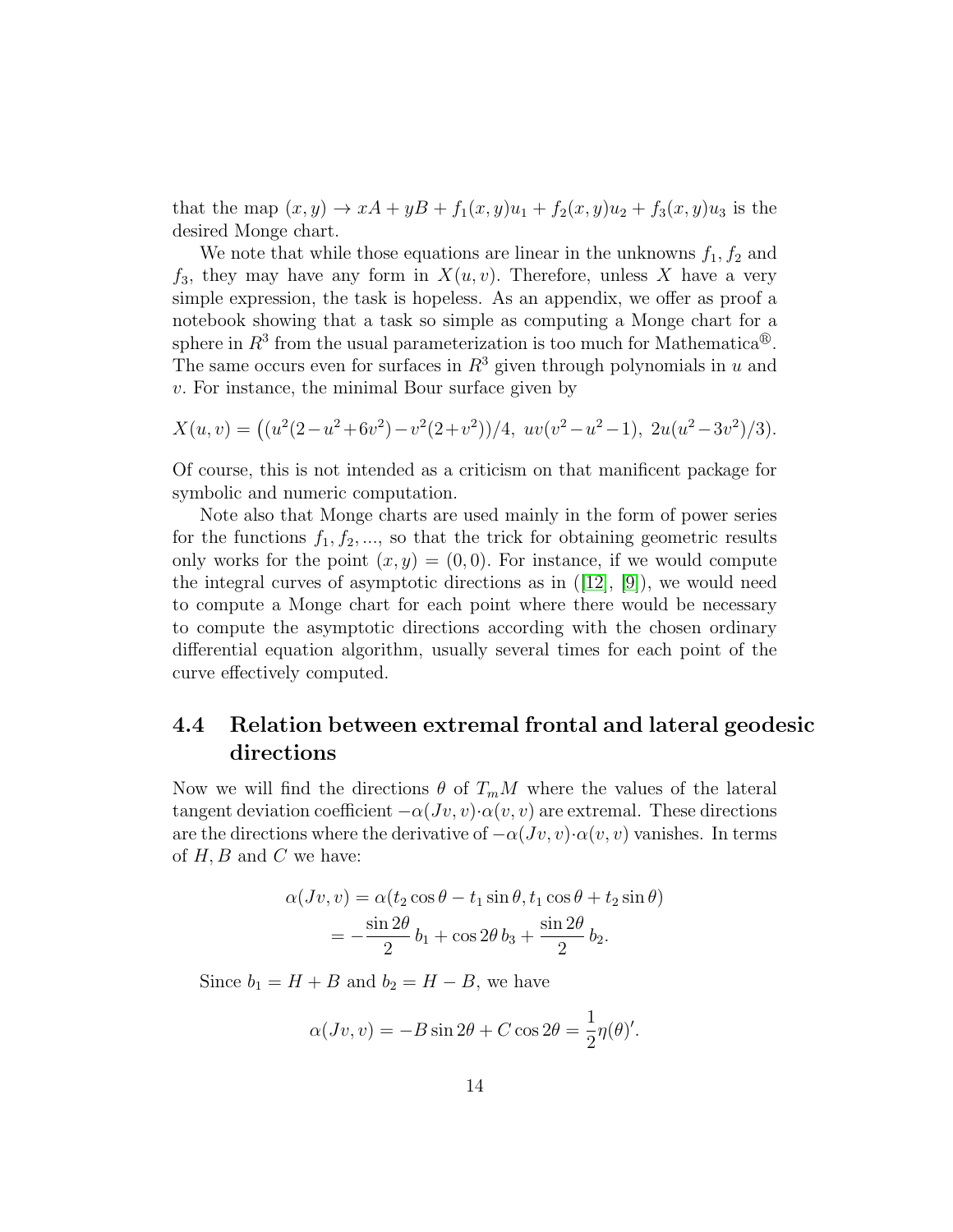that the map  $(x, y) \to xA + yB + f_1(x, y)u_1 + f_2(x, y)u_2 + f_3(x, y)u_3$  is the desired Monge chart.

We note that while those equations are linear in the unknowns  $f_1, f_2$  and  $f_3$ , they may have any form in  $X(u, v)$ . Therefore, unless X have a very simple expression, the task is hopeless. As an appendix, we offer as proof a notebook showing that a task so simple as computing a Monge chart for a sphere in  $R^3$  from the usual parameterization is too much for Mathematica<sup>®</sup>. The same occurs even for surfaces in  $R<sup>3</sup>$  given through polynomials in u and v. For instance, the minimal Bour surface given by

$$
X(u,v) = ((u^2(2-u^2+6v^2)-v^2(2+v^2))/4, uv(v^2-u^2-1), 2u(u^2-3v^2)/3).
$$

Of course, this is not intended as a criticism on that manificent package for symbolic and numeric computation.

Note also that Monge charts are used mainly in the form of power series for the functions  $f_1, f_2, \ldots$ , so that the trick for obtaining geometric results only works for the point  $(x, y) = (0, 0)$ . For instance, if we would compute theintegral curves of asymptotic directions as in  $([12], [9])$  $([12], [9])$  $([12], [9])$  $([12], [9])$  $([12], [9])$ , we would need to compute a Monge chart for each point where there would be necessary to compute the asymptotic directions according with the chosen ordinary differential equation algorithm, usually several times for each point of the curve effectively computed.

#### 4.4 Relation between extremal frontal and lateral geodesic directions

Now we will find the directions  $\theta$  of  $T_mM$  where the values of the lateral tangent deviation coefficient  $-\alpha(Jv, v) \cdot \alpha(v, v)$  are extremal. These directions are the directions where the derivative of  $-\alpha(Jv, v) \cdot \alpha(v, v)$  vanishes. In terms of  $H, B$  and  $C$  we have:

$$
\alpha(Jv, v) = \alpha(t_2 \cos \theta - t_1 \sin \theta, t_1 \cos \theta + t_2 \sin \theta)
$$
  
= 
$$
-\frac{\sin 2\theta}{2}b_1 + \cos 2\theta b_3 + \frac{\sin 2\theta}{2}b_2.
$$

Since  $b_1 = H + B$  and  $b_2 = H - B$ , we have

$$
\alpha(Jv, v) = -B\sin 2\theta + C\cos 2\theta = \frac{1}{2}\eta(\theta)'
$$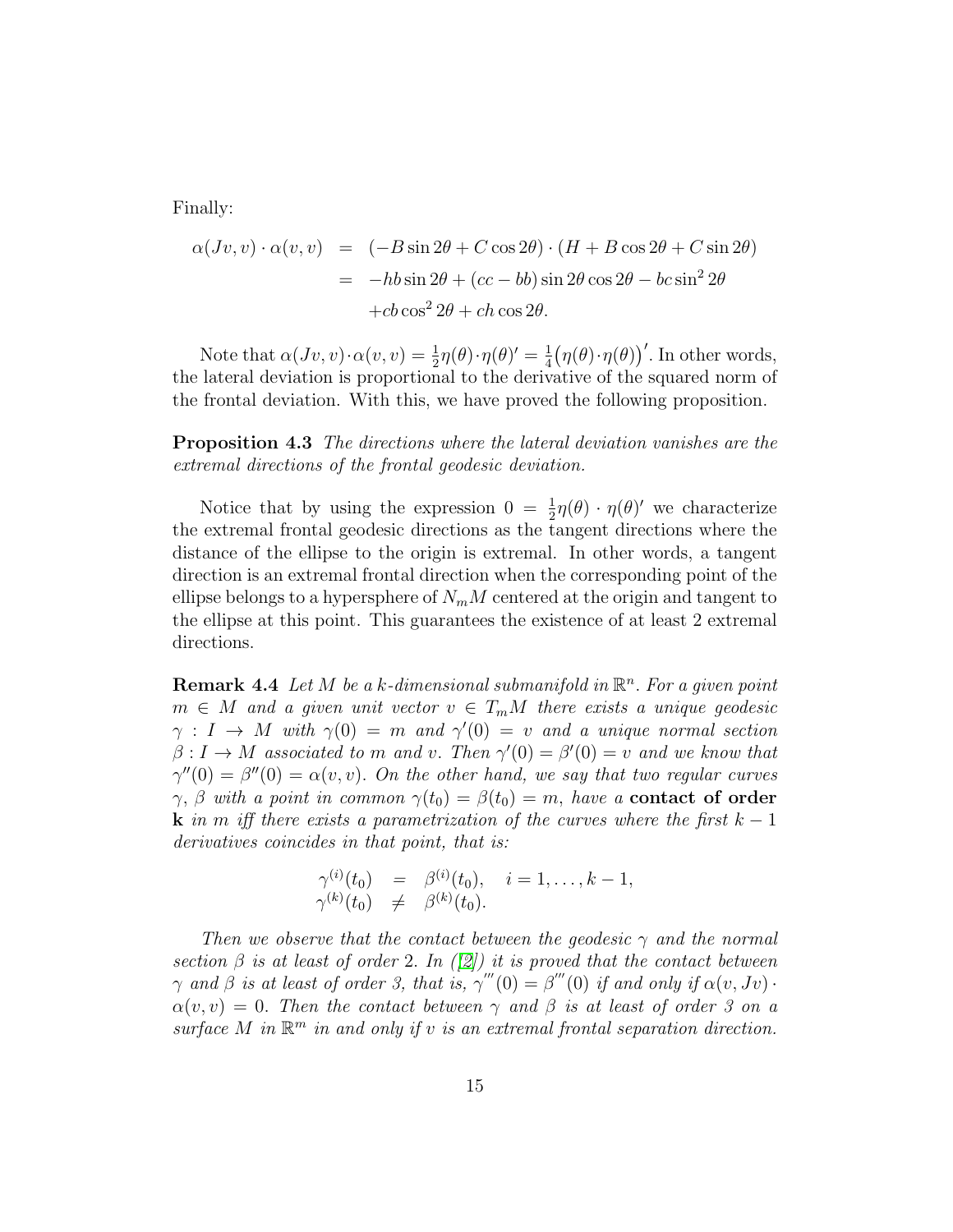Finally:

$$
\alpha(Jv, v) \cdot \alpha(v, v) = (-B \sin 2\theta + C \cos 2\theta) \cdot (H + B \cos 2\theta + C \sin 2\theta)
$$
  
= -hb sin 2\theta + (cc - bb) sin 2\theta cos 2\theta - bc sin<sup>2</sup> 2\theta  
+cb cos<sup>2</sup> 2\theta + ch cos 2\theta.

Note that  $\alpha(Jv, v) \cdot \alpha(v, v) = \frac{1}{2} \eta(\theta) \cdot \eta(\theta)' = \frac{1}{4}$  $\frac{1}{4}(\eta(\theta)\cdot\eta(\theta))'$ . In other words, the lateral deviation is proportional to the derivative of the squared norm of the frontal deviation. With this, we have proved the following proposition.

**Proposition 4.3** The directions where the lateral deviation vanishes are the extremal directions of the frontal geodesic deviation.

Notice that by using the expression  $0 = \frac{1}{2}\eta(\theta) \cdot \eta(\theta)'$  we characterize the extremal frontal geodesic directions as the tangent directions where the distance of the ellipse to the origin is extremal. In other words, a tangent direction is an extremal frontal direction when the corresponding point of the ellipse belongs to a hypersphere of  $N_mM$  centered at the origin and tangent to the ellipse at this point. This guarantees the existence of at least 2 extremal directions.

**Remark 4.4** Let M be a k-dimensional submanifold in  $\mathbb{R}^n$ . For a given point  $m \in M$  and a given unit vector  $v \in T_mM$  there exists a unique geodesic  $\gamma : I \to M$  with  $\gamma(0) = m$  and  $\gamma'(0) = v$  and a unique normal section  $\beta: I \to M$  associated to m and v. Then  $\gamma'(0) = \beta'(0) = v$  and we know that  $\gamma''(0) = \beta''(0) = \alpha(v, v)$ . On the other hand, we say that two regular curves  $\gamma$ ,  $\beta$  with a point in common  $\gamma(t_0) = \beta(t_0) = m$ , have a **contact of order k** in m iff there exists a parametrization of the curves where the first  $k - 1$ derivatives coincides in that point, that is:

$$
\begin{array}{rcl}\n\gamma^{(i)}(t_0) & = & \beta^{(i)}(t_0), \quad i = 1, \dots, k - 1, \\
\gamma^{(k)}(t_0) & \neq & \beta^{(k)}(t_0).\n\end{array}
$$

Then we observe that the contact between the geodesic  $\gamma$  and the normal section  $\beta$  is at least of order 2. In ([\[2\]](#page-25-3)) it is proved that the contact between  $\gamma$  and  $\beta$  is at least of order 3, that is,  $\gamma'''(0) = \beta'''(0)$  if and only if  $\alpha(v, Jv)$ .  $\alpha(v, v) = 0$ . Then the contact between  $\gamma$  and  $\beta$  is at least of order 3 on a surface M in  $\mathbb{R}^m$  in and only if v is an extremal frontal separation direction.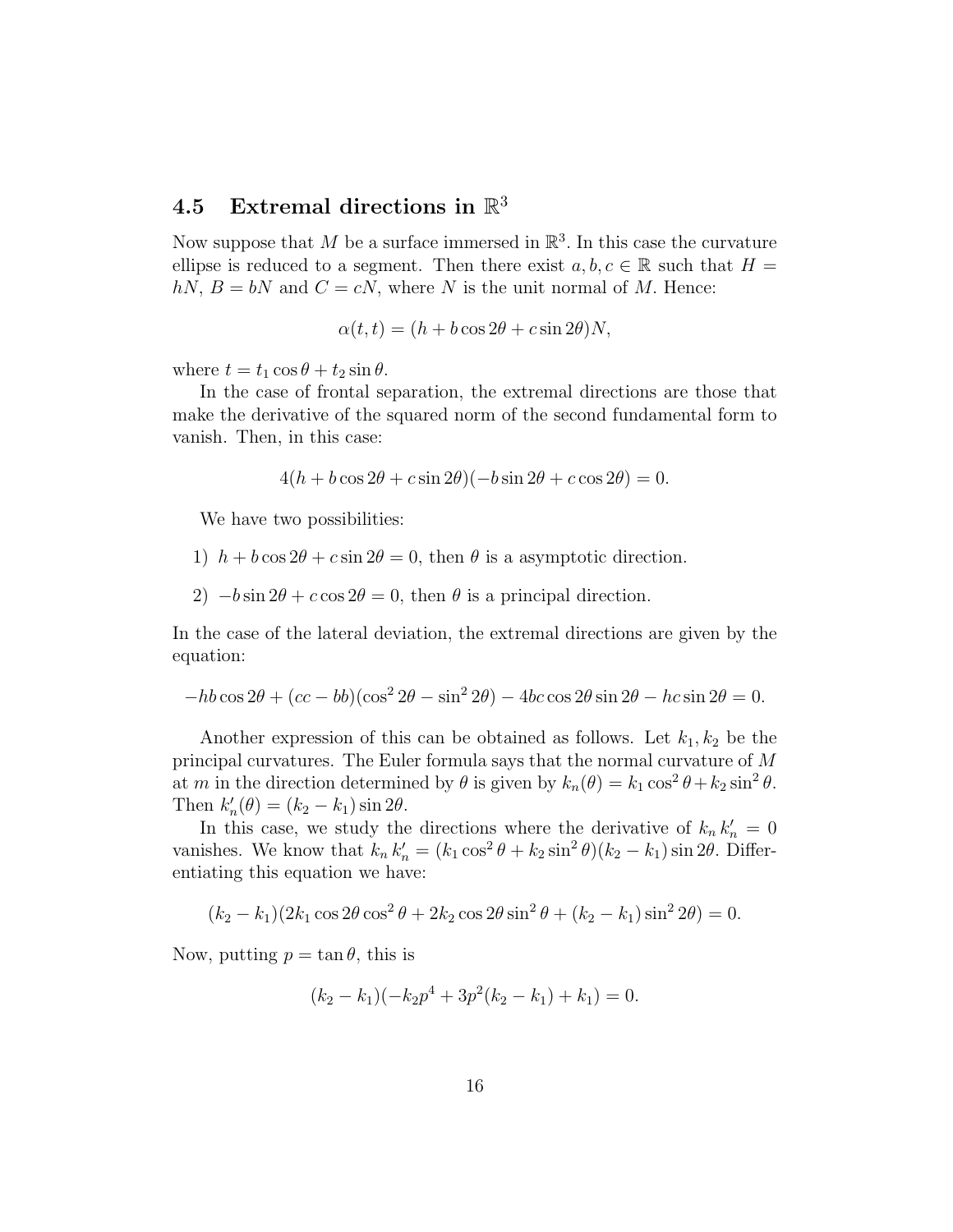# $\textbf{4.5} \quad \text{Extremal directions in } \mathbb{R}^3$

Now suppose that M be a surface immersed in  $\mathbb{R}^3$ . In this case the curvature ellipse is reduced to a segment. Then there exist  $a, b, c \in \mathbb{R}$  such that  $H =$  $hN$ ,  $B = bN$  and  $C = cN$ , where N is the unit normal of M. Hence:

$$
\alpha(t, t) = (h + b \cos 2\theta + c \sin 2\theta)N,
$$

where  $t = t_1 \cos \theta + t_2 \sin \theta$ .

In the case of frontal separation, the extremal directions are those that make the derivative of the squared norm of the second fundamental form to vanish. Then, in this case:

 $4(h + b \cos 2\theta + c \sin 2\theta)(-b \sin 2\theta + c \cos 2\theta) = 0.$ 

We have two possibilities:

- 1)  $h + b \cos 2\theta + c \sin 2\theta = 0$ , then  $\theta$  is a asymptotic direction.
- 2)  $-b \sin 2\theta + c \cos 2\theta = 0$ , then  $\theta$  is a principal direction.

In the case of the lateral deviation, the extremal directions are given by the equation:

$$
-hb\cos 2\theta + (cc - bb)(\cos^2 2\theta - \sin^2 2\theta) - 4bc\cos 2\theta \sin 2\theta - hc\sin 2\theta = 0.
$$

Another expression of this can be obtained as follows. Let  $k_1, k_2$  be the principal curvatures. The Euler formula says that the normal curvature of M at m in the direction determined by  $\theta$  is given by  $k_n(\theta) = k_1 \cos^2 \theta + k_2 \sin^2 \theta$ . Then  $k'_n(\theta) = (k_2 - k_1) \sin 2\theta$ .

In this case, we study the directions where the derivative of  $k_n k'_n = 0$ vanishes. We know that  $k_n k'_n = (k_1 \cos^2 \theta + k_2 \sin^2 \theta)(k_2 - k_1) \sin 2\theta$ . Differentiating this equation we have:

$$
(k_2 - k_1)(2k_1 \cos 2\theta \cos^2 \theta + 2k_2 \cos 2\theta \sin^2 \theta + (k_2 - k_1) \sin^2 2\theta) = 0.
$$

Now, putting  $p = \tan \theta$ , this is

$$
(k_2 - k_1)(-k_2p^4 + 3p^2(k_2 - k_1) + k_1) = 0.
$$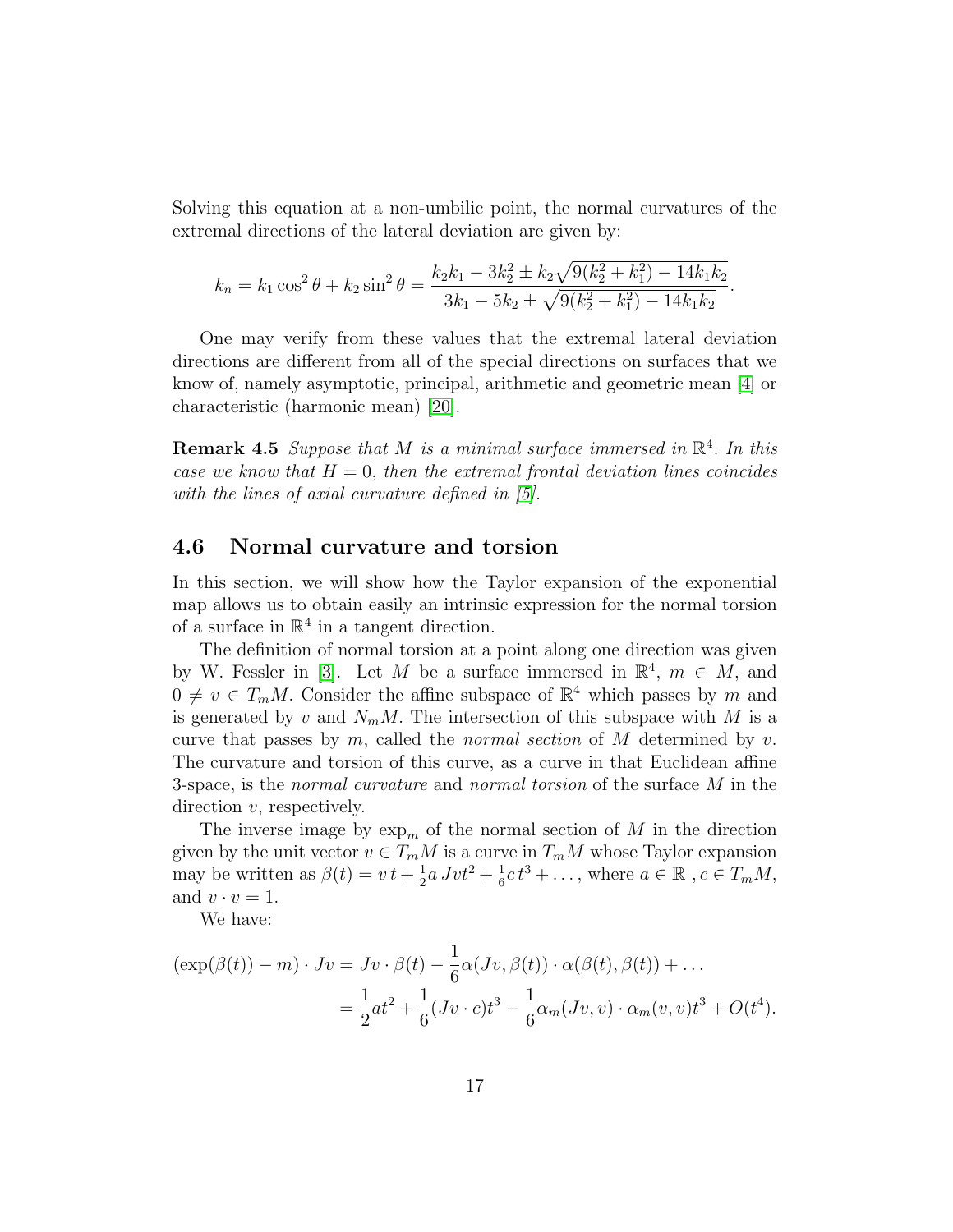Solving this equation at a non-umbilic point, the normal curvatures of the extremal directions of the lateral deviation are given by:

$$
k_n = k_1 \cos^2 \theta + k_2 \sin^2 \theta = \frac{k_2 k_1 - 3k_2^2 \pm k_2 \sqrt{9(k_2^2 + k_1^2) - 14k_1 k_2}}{3k_1 - 5k_2 \pm \sqrt{9(k_2^2 + k_1^2) - 14k_1 k_2}}.
$$

One may verify from these values that the extremal lateral deviation directions are different from all of the special directions on surfaces that we know of, namely asymptotic, principal, arithmetic and geometric mean [\[4\]](#page-25-4) or characteristic (harmonic mean) [\[20\]](#page-27-0).

**Remark 4.5** Suppose that M is a minimal surface immersed in  $\mathbb{R}^4$ . In this case we know that  $H = 0$ , then the extremal frontal deviation lines coincides with the lines of axial curvature defined in [\[5\]](#page-25-5).

#### 4.6 Normal curvature and torsion

In this section, we will show how the Taylor expansion of the exponential map allows us to obtain easily an intrinsic expression for the normal torsion of a surface in  $\mathbb{R}^4$  in a tangent direction.

The definition of normal torsion at a point along one direction was given by W. Fessler in [\[3\]](#page-25-6). Let M be a surface immersed in  $\mathbb{R}^4$ ,  $m \in M$ , and  $0 \neq v \in T_mM$ . Consider the affine subspace of  $\mathbb{R}^4$  which passes by m and is generated by v and  $N_mM$ . The intersection of this subspace with M is a curve that passes by m, called the *normal section* of M determined by v. The curvature and torsion of this curve, as a curve in that Euclidean affine 3-space, is the *normal curvature* and *normal torsion* of the surface M in the direction  $v$ , respectively.

The inverse image by  $\exp_m$  of the normal section of M in the direction given by the unit vector  $v \in T_mM$  is a curve in  $T_mM$  whose Taylor expansion may be written as  $\beta(t) = vt + \frac{1}{2}$  $\frac{1}{2}a Jvt^2 + \frac{1}{6}$  $\frac{1}{6}c t^3 + \ldots$ , where  $a \in \mathbb{R}$ ,  $c \in T_mM$ , and  $v \cdot v = 1$ .

We have:

$$
(\exp(\beta(t)) - m) \cdot Jv = Jv \cdot \beta(t) - \frac{1}{6}\alpha(Jv, \beta(t)) \cdot \alpha(\beta(t), \beta(t)) + \dots
$$
  

$$
= \frac{1}{2}at^2 + \frac{1}{6}(Jv \cdot c)t^3 - \frac{1}{6}\alpha_m(Jv, v) \cdot \alpha_m(v, v)t^3 + O(t^4).
$$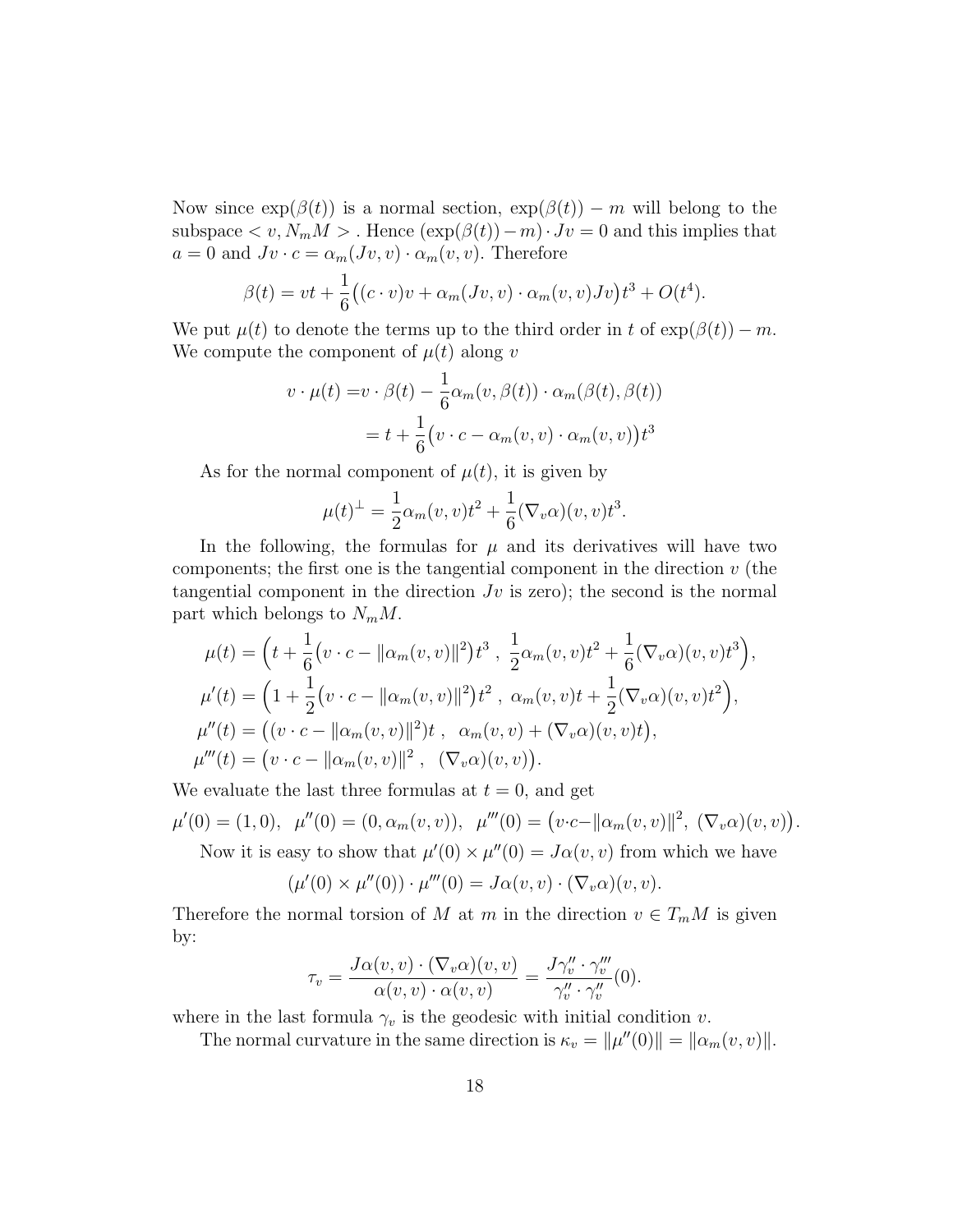Now since  $exp(\beta(t))$  is a normal section,  $exp(\beta(t)) - m$  will belong to the subspace  $\langle v, N_m M \rangle$ . Hence  $(\exp(\beta(t)) - m) \cdot Jv = 0$  and this implies that  $a = 0$  and  $Jv \cdot c = \alpha_m(Jv, v) \cdot \alpha_m(v, v)$ . Therefore

$$
\beta(t) = vt + \frac{1}{6} \big( (c \cdot v)v + \alpha_m(Jv, v) \cdot \alpha_m(v, v)Jv \big) t^3 + O(t^4).
$$

We put  $\mu(t)$  to denote the terms up to the third order in t of  $\exp(\beta(t)) - m$ . We compute the component of  $\mu(t)$  along v

$$
v \cdot \mu(t) = v \cdot \beta(t) - \frac{1}{6} \alpha_m(v, \beta(t)) \cdot \alpha_m(\beta(t), \beta(t))
$$

$$
= t + \frac{1}{6} (v \cdot c - \alpha_m(v, v) \cdot \alpha_m(v, v)) t^3
$$

As for the normal component of  $\mu(t)$ , it is given by

$$
\mu(t)^{\perp} = \frac{1}{2}\alpha_m(v, v)t^2 + \frac{1}{6}(\nabla_v \alpha)(v, v)t^3.
$$

In the following, the formulas for  $\mu$  and its derivatives will have two components; the first one is the tangential component in the direction  $v$  (the tangential component in the direction  $Jv$  is zero); the second is the normal part which belongs to  $N_m M$ .

$$
\mu(t) = \left(t + \frac{1}{6}(v \cdot c - \|\alpha_m(v, v)\|^2)t^3, \frac{1}{2}\alpha_m(v, v)t^2 + \frac{1}{6}(\nabla_v \alpha)(v, v)t^3\right),
$$
  
\n
$$
\mu'(t) = \left(1 + \frac{1}{2}(v \cdot c - \|\alpha_m(v, v)\|^2)t^2, \alpha_m(v, v)t + \frac{1}{2}(\nabla_v \alpha)(v, v)t^2\right),
$$
  
\n
$$
\mu''(t) = \left((v \cdot c - \|\alpha_m(v, v)\|^2)t, \alpha_m(v, v) + (\nabla_v \alpha)(v, v)t\right),
$$
  
\n
$$
\mu'''(t) = \left(v \cdot c - \|\alpha_m(v, v)\|^2, (\nabla_v \alpha)(v, v)\right).
$$

We evaluate the last three formulas at  $t = 0$ , and get

$$
\mu'(0) = (1,0), \quad \mu''(0) = (0,\alpha_m(v,v)), \quad \mu'''(0) = (v \cdot c - ||\alpha_m(v,v)||^2, \ (\nabla_v \alpha)(v,v)).
$$

Now it is easy to show that  $\mu'(0) \times \mu''(0) = J\alpha(v, v)$  from which we have

$$
(\mu'(0) \times \mu''(0)) \cdot \mu'''(0) = J\alpha(v, v) \cdot (\nabla_v \alpha)(v, v).
$$

Therefore the normal torsion of M at m in the direction  $v \in T_mM$  is given by:

$$
\tau_v = \frac{J\alpha(v,v)\cdot(\nabla_v\alpha)(v,v)}{\alpha(v,v)\cdot\alpha(v,v)} = \frac{J\gamma_v''\cdot\gamma_v'''}{\gamma_v''\cdot\gamma_v''}(0).
$$

where in the last formula  $\gamma_v$  is the geodesic with initial condition v.

The normal curvature in the same direction is  $\kappa_v = ||\mu''(0)|| = ||\alpha_m(v, v)||$ .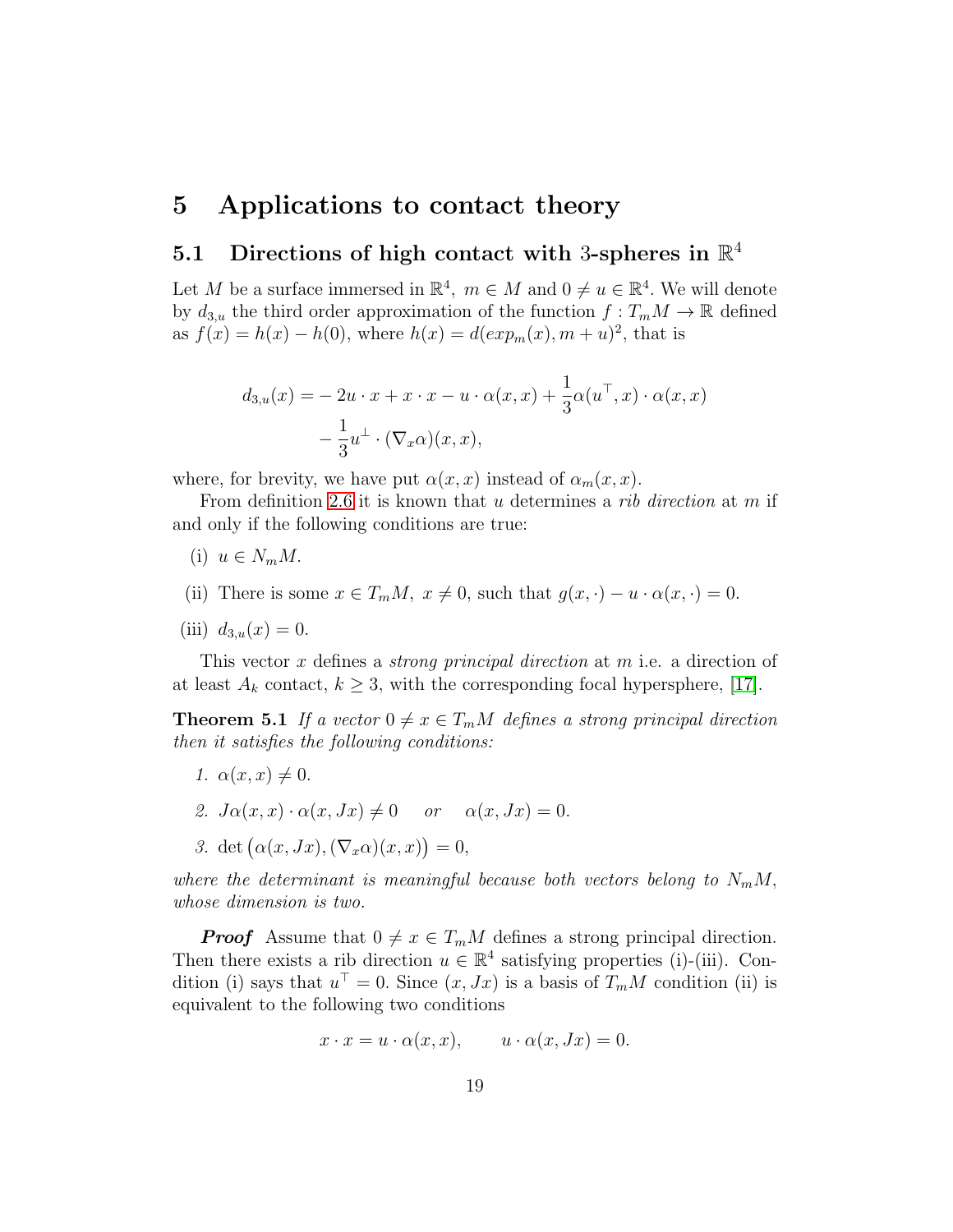## 5 Applications to contact theory

# 5.1 Directions of high contact with 3-spheres in  $\mathbb{R}^4$

Let M be a surface immersed in  $\mathbb{R}^4$ ,  $m \in M$  and  $0 \neq u \in \mathbb{R}^4$ . We will denote by  $d_{3,u}$  the third order approximation of the function  $f: T_mM \to \mathbb{R}$  defined as  $f(x) = h(x) - h(0)$ , where  $h(x) = d(exp_m(x), m + u)^2$ , that is

$$
d_{3,u}(x) = -2u \cdot x + x \cdot x - u \cdot \alpha(x, x) + \frac{1}{3}\alpha(u^{\top}, x) \cdot \alpha(x, x)
$$

$$
-\frac{1}{3}u^{\perp} \cdot (\nabla_x \alpha)(x, x),
$$

where, for brevity, we have put  $\alpha(x, x)$  instead of  $\alpha_m(x, x)$ .

From definition [2.6](#page-5-0) it is known that u determines a *rib* direction at m if and only if the following conditions are true:

- (i)  $u \in N_m M$ .
- (ii) There is some  $x \in T_m M$ ,  $x \neq 0$ , such that  $g(x, \cdot) u \cdot \alpha(x, \cdot) = 0$ .
- (iii)  $d_{3,u}(x) = 0$ .

This vector x defines a *strong principal direction* at m i.e. a direction of at least  $A_k$  contact,  $k \geq 3$ , with the corresponding focal hypersphere, [\[17\]](#page-26-0).

**Theorem 5.1** If a vector  $0 \neq x \in T_mM$  defines a strong principal direction then it satisfies the following conditions:

- 1.  $\alpha(x, x) \neq 0$ .
- 2.  $J\alpha(x, x) \cdot \alpha(x, Jx) \neq 0$  or  $\alpha(x, Jx) = 0$ .
- 3. det  $(\alpha(x,Jx),(\nabla_x\alpha)(x,x))=0,$

where the determinant is meaningful because both vectors belong to  $N_mM$ , whose dimension is two.

**Proof** Assume that  $0 \neq x \in T_mM$  defines a strong principal direction. Then there exists a rib direction  $u \in \mathbb{R}^4$  satisfying properties (i)-(iii). Condition (i) says that  $u^{\top} = 0$ . Since  $(x, Jx)$  is a basis of  $T_m M$  condition (ii) is equivalent to the following two conditions

$$
x \cdot x = u \cdot \alpha(x, x), \qquad u \cdot \alpha(x, Jx) = 0.
$$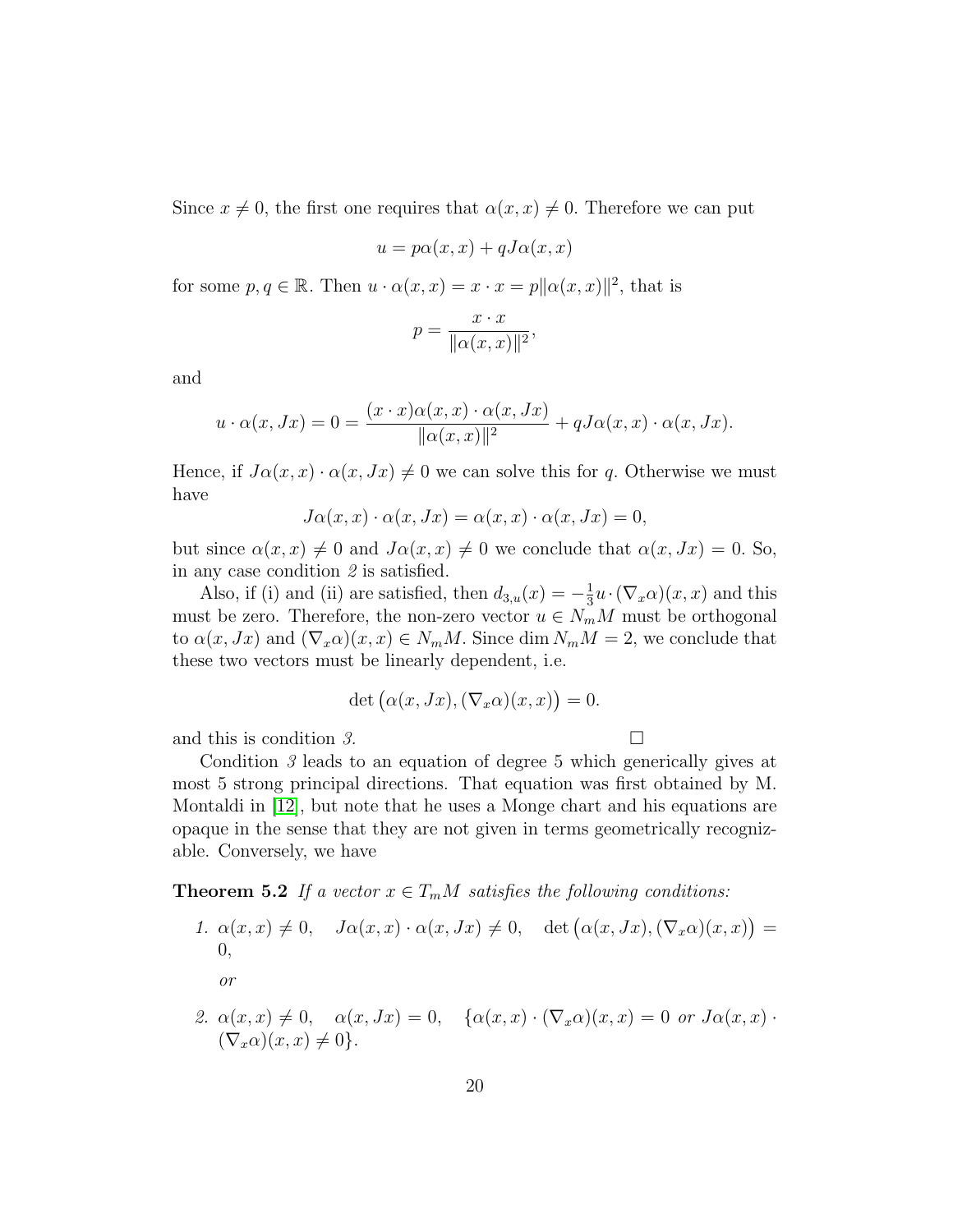Since  $x \neq 0$ , the first one requires that  $\alpha(x, x) \neq 0$ . Therefore we can put

$$
u = p\alpha(x, x) + qJ\alpha(x, x)
$$

for some  $p, q \in \mathbb{R}$ . Then  $u \cdot \alpha(x, x) = x \cdot x = p ||\alpha(x, x)||^2$ , that is

$$
p = \frac{x \cdot x}{\|\alpha(x, x)\|^2},
$$

and

$$
u \cdot \alpha(x, Jx) = 0 = \frac{(x \cdot x)\alpha(x, x) \cdot \alpha(x, Jx)}{\|\alpha(x, x)\|^2} + qJ\alpha(x, x) \cdot \alpha(x, Jx).
$$

Hence, if  $J\alpha(x, x) \cdot \alpha(x, Jx) \neq 0$  we can solve this for q. Otherwise we must have

$$
J\alpha(x,x)\cdot \alpha(x,Jx)=\alpha(x,x)\cdot \alpha(x,Jx)=0,
$$

but since  $\alpha(x, x) \neq 0$  and  $J\alpha(x, x) \neq 0$  we conclude that  $\alpha(x, Jx) = 0$ . So, in any case condition 2 is satisfied.

Also, if (i) and (ii) are satisfied, then  $d_{3,u}(x) = -\frac{1}{3}$  $\frac{1}{3}u \cdot (\nabla_x \alpha)(x, x)$  and this must be zero. Therefore, the non-zero vector  $u \in N_mM$  must be orthogonal to  $\alpha(x, Jx)$  and  $(\nabla_x \alpha)(x, x) \in N_m M$ . Since dim  $N_m M = 2$ , we conclude that these two vectors must be linearly dependent, i.e.

$$
\det(\alpha(x, Jx), (\nabla_x \alpha)(x, x)) = 0.
$$

and this is condition 3.  $\Box$ 

Condition 3 leads to an equation of degree 5 which generically gives at most 5 strong principal directions. That equation was first obtained by M. Montaldi in [\[12\]](#page-26-2), but note that he uses a Monge chart and his equations are opaque in the sense that they are not given in terms geometrically recognizable. Conversely, we have

**Theorem 5.2** If a vector  $x \in T_mM$  satisfies the following conditions:

1. 
$$
\alpha(x, x) \neq 0
$$
,  $J\alpha(x, x) \cdot \alpha(x, Jx) \neq 0$ , det  $(\alpha(x, Jx), (\nabla_x \alpha)(x, x)) = 0$ ,  
\nor  
\n2.  $\alpha(x, x) \neq 0$ ,  $\alpha(x, Jx) = 0$ ,  $\{\alpha(x, x) \cdot (\nabla_x \alpha)(x, x) = 0 \text{ or } J\alpha(x, x) \cdot (\nabla_x \alpha)(x, x) \neq 0\}$ .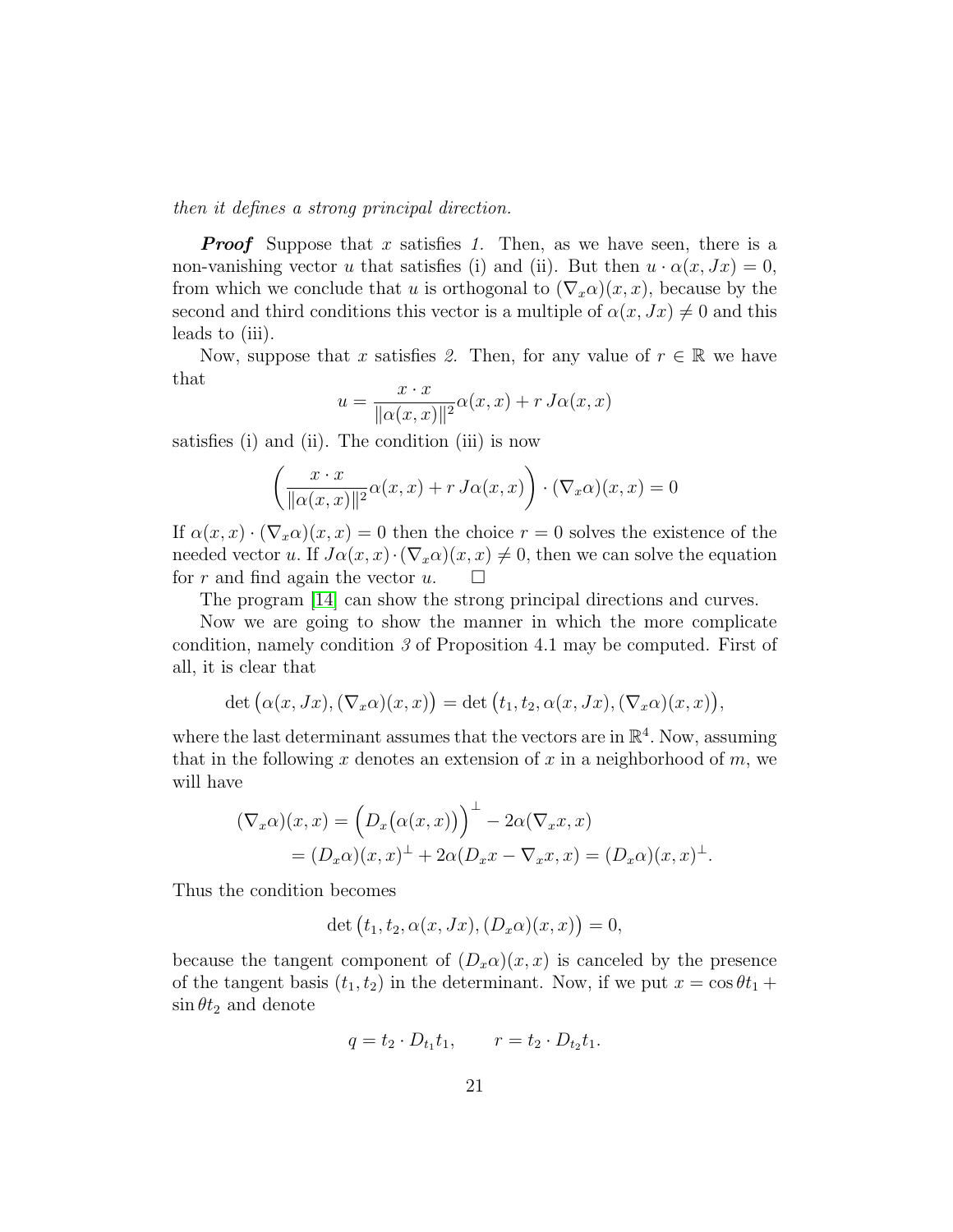then it defines a strong principal direction.

**Proof** Suppose that x satisfies 1. Then, as we have seen, there is a non-vanishing vector u that satisfies (i) and (ii). But then  $u \cdot \alpha(x, Jx) = 0$ , from which we conclude that u is orthogonal to  $(\nabla_x \alpha)(x, x)$ , because by the second and third conditions this vector is a multiple of  $\alpha(x, Jx) \neq 0$  and this leads to (iii).

Now, suppose that x satisfies 2. Then, for any value of  $r \in \mathbb{R}$  we have that

$$
u = \frac{x \cdot x}{\|\alpha(x, x)\|^2} \alpha(x, x) + r \, J\alpha(x, x)
$$

satisfies (i) and (ii). The condition (iii) is now

$$
\left(\frac{x \cdot x}{\|\alpha(x,x)\|^2} \alpha(x,x) + r \, J\alpha(x,x)\right) \cdot (\nabla_x \alpha)(x,x) = 0
$$

If  $\alpha(x, x) \cdot (\nabla_x \alpha)(x, x) = 0$  then the choice  $r = 0$  solves the existence of the needed vector u. If  $J\alpha(x, x) \cdot (\nabla_x \alpha)(x, x) \neq 0$ , then we can solve the equation for r and find again the vector  $u$ .  $\square$ 

The program [\[14\]](#page-26-9) can show the strong principal directions and curves.

Now we are going to show the manner in which the more complicate condition, namely condition 3 of Proposition 4.1 may be computed. First of all, it is clear that

$$
\det (\alpha(x,Jx),(\nabla_x\alpha)(x,x)) = \det (t_1,t_2,\alpha(x,Jx),(\nabla_x\alpha)(x,x)),
$$

where the last determinant assumes that the vectors are in  $\mathbb{R}^4$ . Now, assuming that in the following x denotes an extension of x in a neighborhood of  $m$ , we will have

$$
(\nabla_x \alpha)(x, x) = (D_x(\alpha(x, x)))^{\perp} - 2\alpha(\nabla_x x, x)
$$
  
=  $(D_x \alpha)(x, x)^{\perp} + 2\alpha(D_x x - \nabla_x x, x) = (D_x \alpha)(x, x)^{\perp}.$ 

Thus the condition becomes

$$
\det(t_1, t_2, \alpha(x, Jx), (D_x\alpha)(x, x)) = 0,
$$

because the tangent component of  $(D_x\alpha)(x, x)$  is canceled by the presence of the tangent basis  $(t_1, t_2)$  in the determinant. Now, if we put  $x = \cos \theta t_1 +$  $\sin \theta t_2$  and denote

$$
q = t_2 \cdot D_{t_1} t_1, \qquad r = t_2 \cdot D_{t_2} t_1.
$$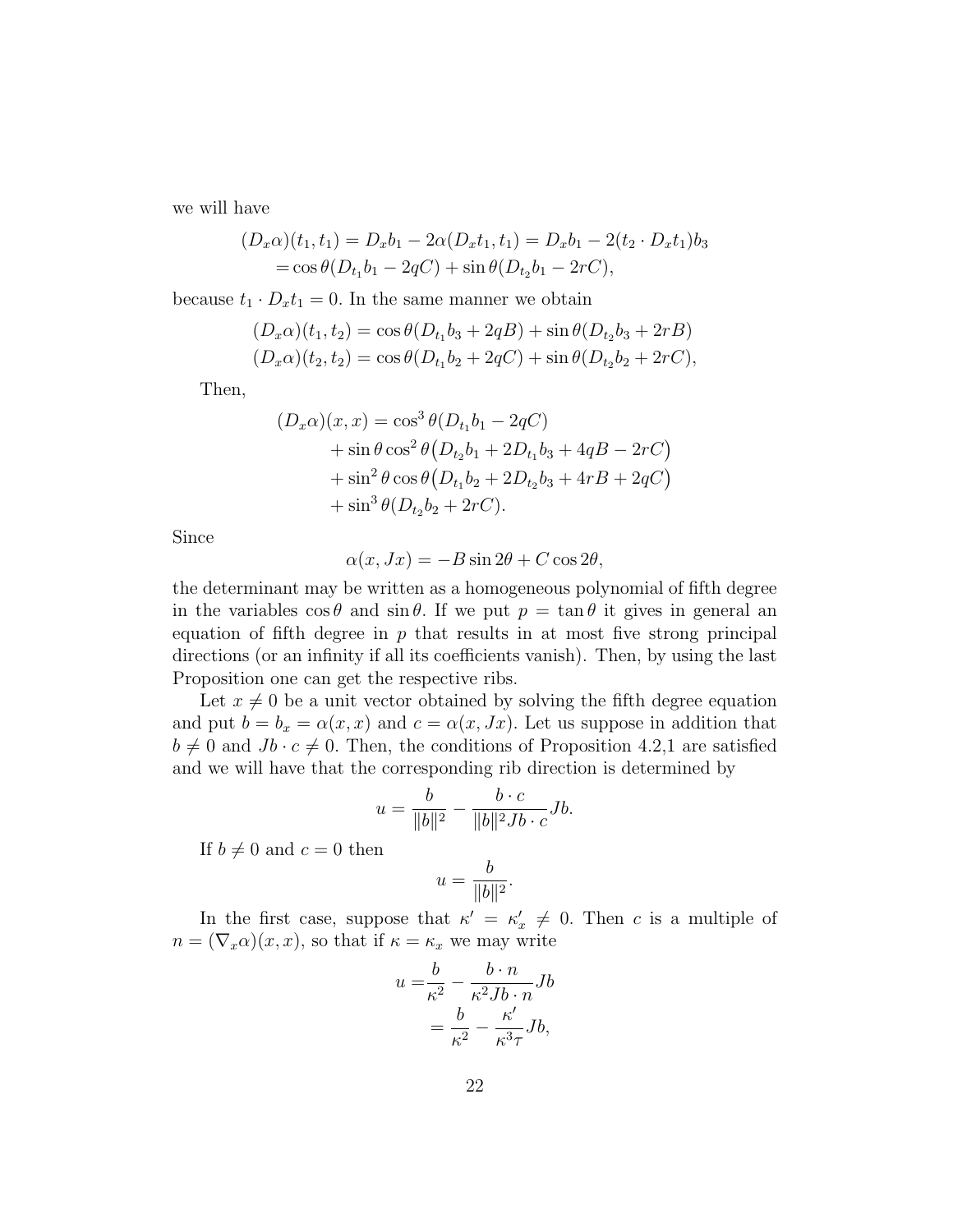we will have

$$
(D_x \alpha)(t_1, t_1) = D_x b_1 - 2\alpha (D_x t_1, t_1) = D_x b_1 - 2(t_2 \cdot D_x t_1) b_3
$$
  
=  $\cos \theta (D_{t_1} b_1 - 2qC) + \sin \theta (D_{t_2} b_1 - 2rC),$ 

because  $t_1 \cdot D_x t_1 = 0$ . In the same manner we obtain

$$
(D_x \alpha)(t_1, t_2) = \cos \theta (D_{t_1} b_3 + 2qB) + \sin \theta (D_{t_2} b_3 + 2rB)
$$
  

$$
(D_x \alpha)(t_2, t_2) = \cos \theta (D_{t_1} b_2 + 2qC) + \sin \theta (D_{t_2} b_2 + 2rC),
$$

Then,

$$
(D_x \alpha)(x, x) = \cos^3 \theta (D_{t_1} b_1 - 2qC)
$$
  
+  $\sin \theta \cos^2 \theta (D_{t_2} b_1 + 2D_{t_1} b_3 + 4qB - 2rC)$   
+  $\sin^2 \theta \cos \theta (D_{t_1} b_2 + 2D_{t_2} b_3 + 4rB + 2qC)$   
+  $\sin^3 \theta (D_{t_2} b_2 + 2rC).$ 

Since

$$
\alpha(x, Jx) = -B\sin 2\theta + C\cos 2\theta,
$$

the determinant may be written as a homogeneous polynomial of fifth degree in the variables  $\cos \theta$  and  $\sin \theta$ . If we put  $p = \tan \theta$  it gives in general an equation of fifth degree in  $p$  that results in at most five strong principal directions (or an infinity if all its coefficients vanish). Then, by using the last Proposition one can get the respective ribs.

Let  $x \neq 0$  be a unit vector obtained by solving the fifth degree equation and put  $b = b_x = \alpha(x, x)$  and  $c = \alpha(x, Jx)$ . Let us suppose in addition that  $b \neq 0$  and  $Jb \cdot c \neq 0$ . Then, the conditions of Proposition 4.2,1 are satisfied and we will have that the corresponding rib direction is determined by

$$
u = \frac{b}{\|b\|^2} - \frac{b \cdot c}{\|b\|^2 Jb \cdot c} Jb.
$$

If  $b \neq 0$  and  $c = 0$  then

$$
u = \frac{b}{\|b\|^2}.
$$

In the first case, suppose that  $\kappa' = \kappa'_x \neq 0$ . Then c is a multiple of  $n = (\nabla_x \alpha)(x, x)$ , so that if  $\kappa = \kappa_x$  we may write

$$
u = \frac{b}{\kappa^2} - \frac{b \cdot n}{\kappa^2 J b \cdot n} Jb
$$

$$
= \frac{b}{\kappa^2} - \frac{\kappa'}{\kappa^3 \tau} Jb,
$$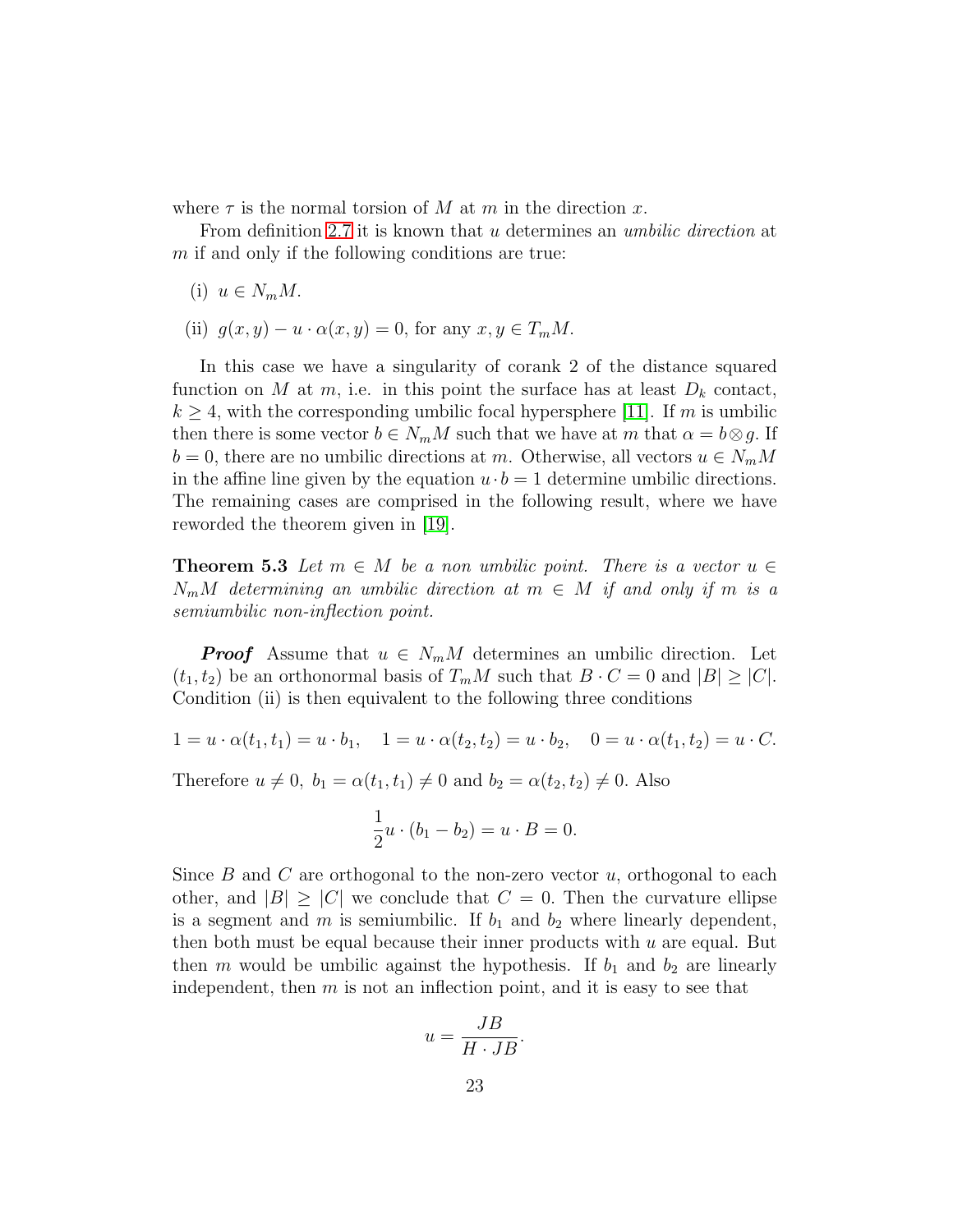where  $\tau$  is the normal torsion of M at m in the direction x.

From definition [2.7](#page-6-0) it is known that u determines an *umbilic direction* at  $m$  if and only if the following conditions are true:

- (i)  $u \in N_m M$ .
- (ii)  $g(x, y) u \cdot \alpha(x, y) = 0$ , for any  $x, y \in T_m M$ .

In this case we have a singularity of corank 2 of the distance squared function on M at m, i.e. in this point the surface has at least  $D_k$  contact,  $k \geq 4$ , with the corresponding umbilic focal hypersphere [\[11\]](#page-26-1). If m is umbilic then there is some vector  $b \in N_m M$  such that we have at m that  $\alpha = b \otimes g$ . If  $b = 0$ , there are no umbilic directions at m. Otherwise, all vectors  $u \in N_mM$ in the affine line given by the equation  $u \cdot b = 1$  determine umbilic directions. The remaining cases are comprised in the following result, where we have reworded the theorem given in [\[19\]](#page-26-10).

**Theorem 5.3** Let  $m \in M$  be a non umbilic point. There is a vector  $u \in$  $N_mM$  determining an umbilic direction at  $m \in M$  if and only if m is a semiumbilic non-inflection point.

**Proof** Assume that  $u \in N_mM$  determines an umbilic direction. Let  $(t_1, t_2)$  be an orthonormal basis of  $T_mM$  such that  $B \cdot C = 0$  and  $|B| \geq |C|$ . Condition (ii) is then equivalent to the following three conditions

$$
1 = u \cdot \alpha(t_1, t_1) = u \cdot b_1, \quad 1 = u \cdot \alpha(t_2, t_2) = u \cdot b_2, \quad 0 = u \cdot \alpha(t_1, t_2) = u \cdot C.
$$

Therefore  $u \neq 0$ ,  $b_1 = \alpha(t_1, t_1) \neq 0$  and  $b_2 = \alpha(t_2, t_2) \neq 0$ . Also

$$
\frac{1}{2}u \cdot (b_1 - b_2) = u \cdot B = 0.
$$

Since  $B$  and  $C$  are orthogonal to the non-zero vector  $u$ , orthogonal to each other, and  $|B| \geq |C|$  we conclude that  $C = 0$ . Then the curvature ellipse is a segment and m is semiumbilic. If  $b_1$  and  $b_2$  where linearly dependent, then both must be equal because their inner products with  $u$  are equal. But then m would be umbilic against the hypothesis. If  $b_1$  and  $b_2$  are linearly independent, then  $m$  is not an inflection point, and it is easy to see that

$$
u = \frac{JB}{H \cdot JB}.
$$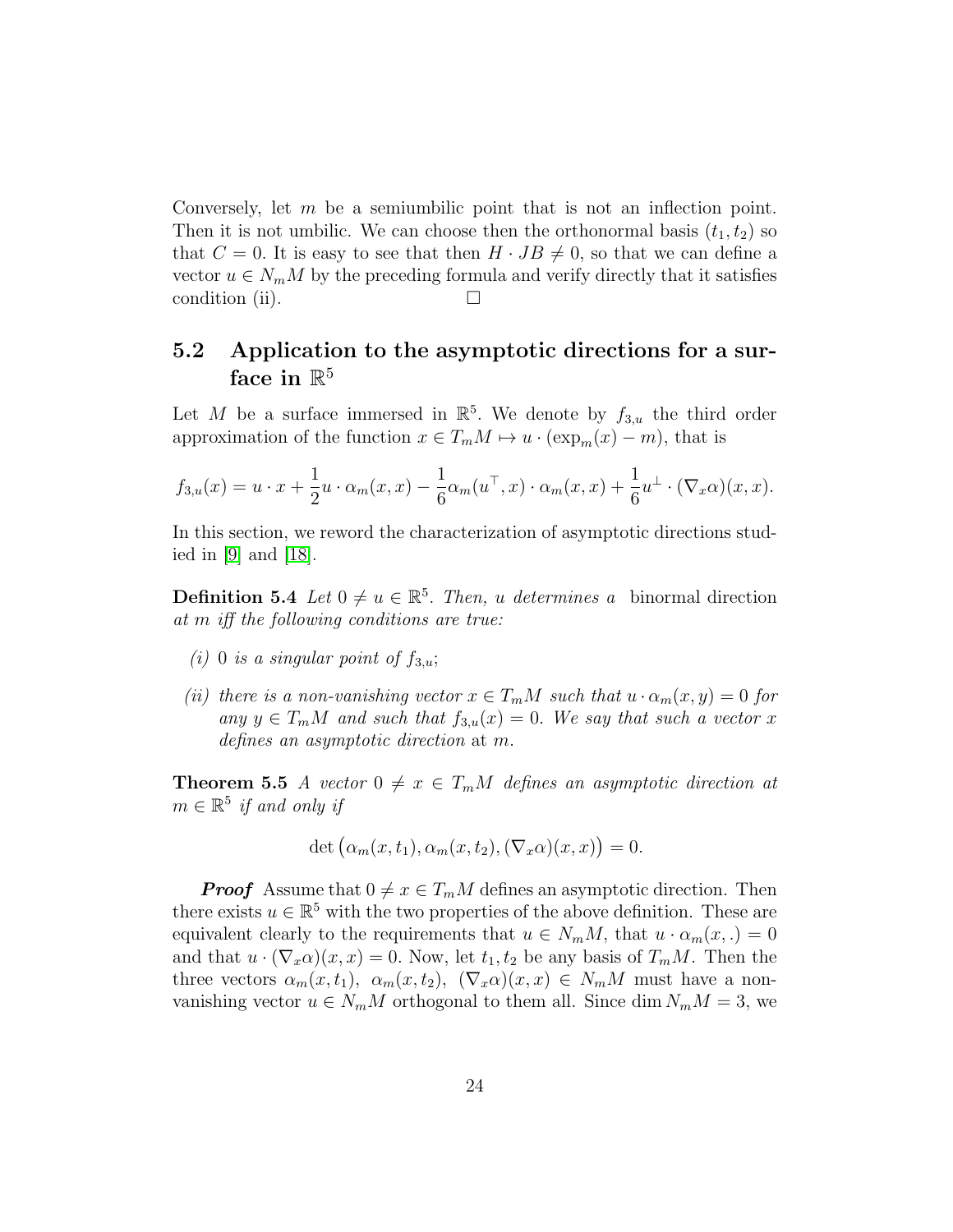Conversely, let  $m$  be a semiumbilic point that is not an inflection point. Then it is not umbilic. We can choose then the orthonormal basis  $(t_1, t_2)$  so that  $C = 0$ . It is easy to see that then  $H \cdot JB \neq 0$ , so that we can define a vector  $u \in N_m M$  by the preceding formula and verify directly that it satisfies condition (ii).  $\Box$ 

### 5.2 Application to the asymptotic directions for a surface in  $\mathbb{R}^5$

Let M be a surface immersed in  $\mathbb{R}^5$ . We denote by  $f_{3,u}$  the third order approximation of the function  $x \in T_m M \mapsto u \cdot (\exp_m(x) - m)$ , that is

$$
f_{3,u}(x) = u \cdot x + \frac{1}{2}u \cdot \alpha_m(x,x) - \frac{1}{6}\alpha_m(u^{\top},x) \cdot \alpha_m(x,x) + \frac{1}{6}u^{\perp} \cdot (\nabla_x \alpha)(x,x).
$$

In this section, we reword the characterization of asymptotic directions studied in [\[9\]](#page-26-3) and [\[18\]](#page-26-11).

**Definition 5.4** Let  $0 \neq u \in \mathbb{R}^5$ . Then, u determines a binormal direction at m iff the following conditions are true:

- (i) 0 is a singular point of  $f_{3,u}$ ;
- (ii) there is a non-vanishing vector  $x \in T_m M$  such that  $u \cdot \alpha_m(x, y) = 0$  for any  $y \in T_m M$  and such that  $f_{3,u}(x) = 0$ . We say that such a vector x defines an asymptotic direction at m.

**Theorem 5.5** A vector  $0 \neq x \in T_mM$  defines an asymptotic direction at  $m \in \mathbb{R}^5$  if and only if

$$
\det(\alpha_m(x, t_1), \alpha_m(x, t_2), (\nabla_x \alpha)(x, x)) = 0.
$$

**Proof** Assume that  $0 \neq x \in T_mM$  defines an asymptotic direction. Then there exists  $u \in \mathbb{R}^5$  with the two properties of the above definition. These are equivalent clearly to the requirements that  $u \in N_mM$ , that  $u \cdot \alpha_m(x,.) = 0$ and that  $u \cdot (\nabla_x \alpha)(x, x) = 0$ . Now, let  $t_1, t_2$  be any basis of  $T_m M$ . Then the three vectors  $\alpha_m(x, t_1)$ ,  $\alpha_m(x, t_2)$ ,  $(\nabla_x \alpha)(x, x) \in N_m M$  must have a nonvanishing vector  $u \in N_m M$  orthogonal to them all. Since dim  $N_m M = 3$ , we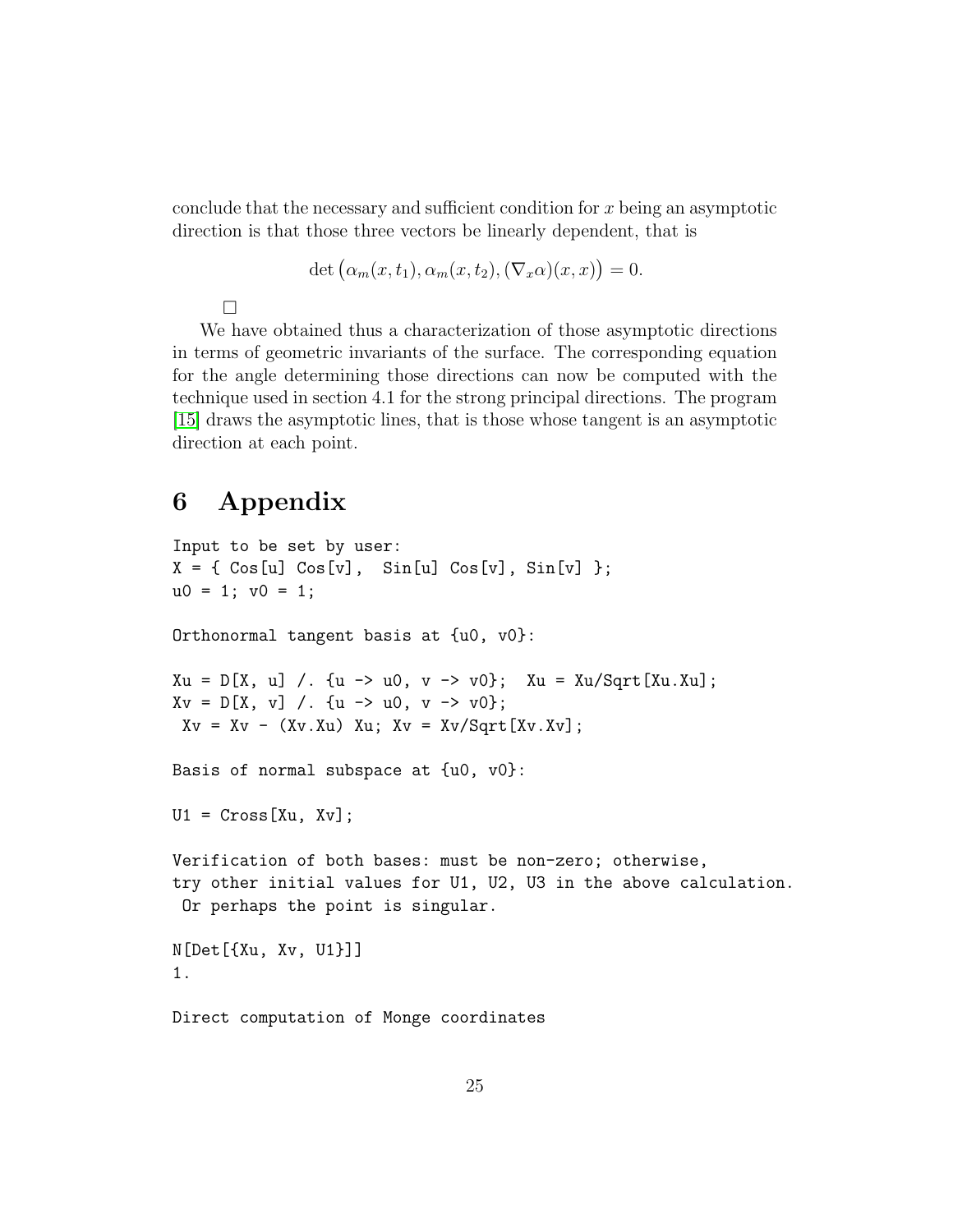conclude that the necessary and sufficient condition for x being an asymptotic direction is that those three vectors be linearly dependent, that is

$$
\det(\alpha_m(x, t_1), \alpha_m(x, t_2), (\nabla_x \alpha)(x, x)) = 0.
$$

 $\Box$ 

We have obtained thus a characterization of those asymptotic directions in terms of geometric invariants of the surface. The corresponding equation for the angle determining those directions can now be computed with the technique used in section 4.1 for the strong principal directions. The program [\[15\]](#page-26-8) draws the asymptotic lines, that is those whose tangent is an asymptotic direction at each point.

# 6 Appendix

```
Input to be set by user:
X = \{ \cos[u] \cos[v], \sin[u] \cos[v], \sin[v] \};u0 = 1; v0 = 1;
Orthonormal tangent basis at {u0, v0}:
Xu = D[X, u] /. {u -> u0, v -> v0}; Xu = Xu/Sqrt[Xu.Xu];
Xv = D[X, v] /. {u -> u0, v -> v0};
Xv = Xv - (Xv.Xu) Xu; Xv = Xv/Sqrt[Xv.Xv];Basis of normal subspace at {u0, v0}:
U1 = Cross[Xu, Xv];Verification of both bases: must be non-zero; otherwise,
try other initial values for U1, U2, U3 in the above calculation.
 Or perhaps the point is singular.
N[Det[{Xu, Xv, U1}]]
1.
Direct computation of Monge coordinates
```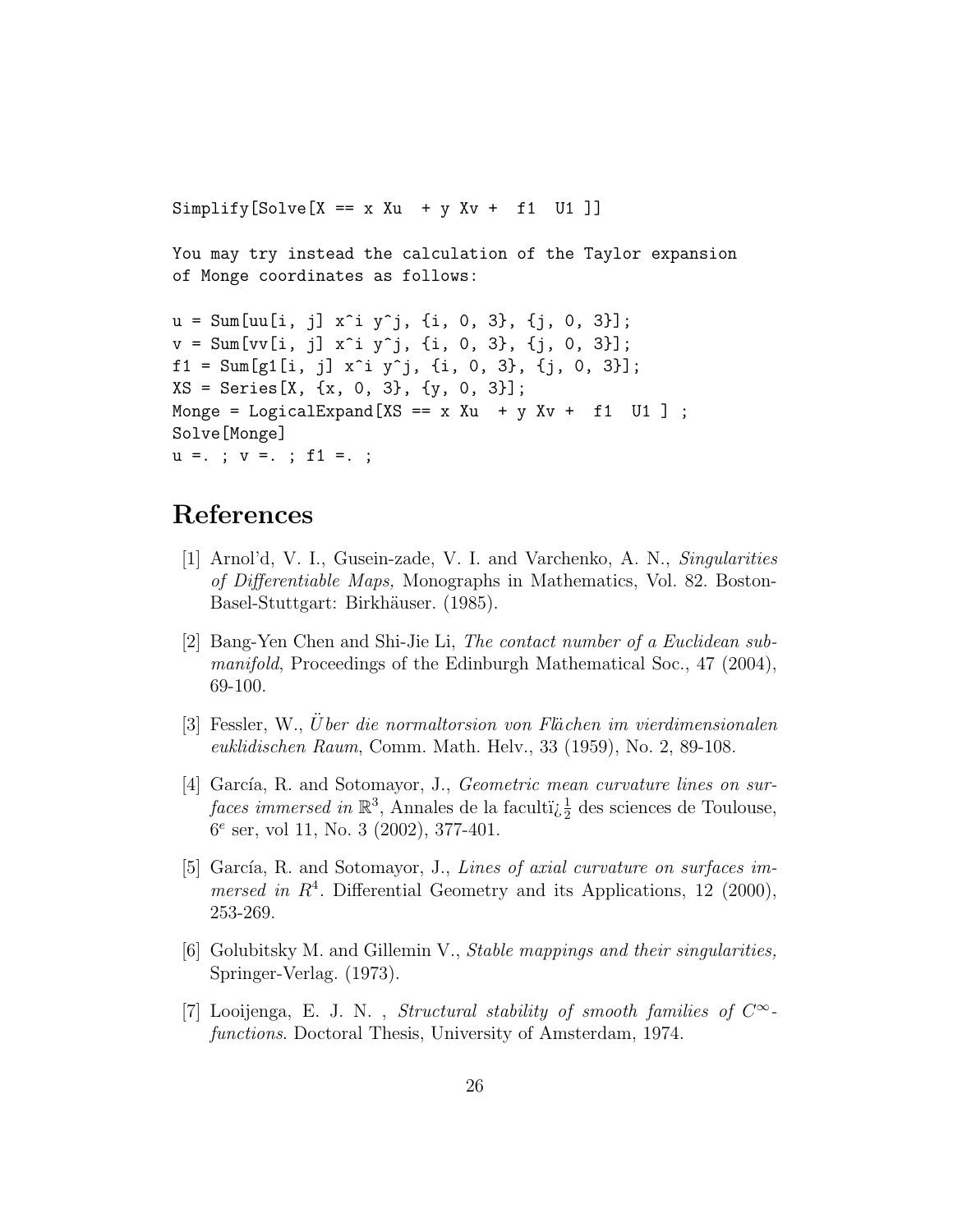$Simplify[Solve[X == x Xu + y Xv + f1 U1]]$ 

You may try instead the calculation of the Taylor expansion of Monge coordinates as follows:

```
u = Sum[uu[i, j] x^i y^j, \{i, 0, 3\}, \{j, 0, 3\}];v = Sum[vv[i, j] x^i y^j, {i, 0, 3}, {j, 0, 3}];
f1 = Sum[g1[i, j] x^i y^j, \{i, 0, 3\}, \{j, 0, 3\}];XS = Series[X, \{x, 0, 3\}, \{y, 0, 3\}];Monge = LogicalExpand[XS == x Xu + y Xv + f1 U1];
Solve[Monge]
u =. ; v =. ; f1 =. ;
```
# References

- <span id="page-25-2"></span>[1] Arnol'd, V. I., Gusein-zade, V. I. and Varchenko, A. N., Singularities of Differentiable Maps, Monographs in Mathematics, Vol. 82. Boston-Basel-Stuttgart: Birkhäuser. (1985).
- <span id="page-25-3"></span>[2] Bang-Yen Chen and Shi-Jie Li, The contact number of a Euclidean submanifold, Proceedings of the Edinburgh Mathematical Soc., 47 (2004), 69-100.
- <span id="page-25-6"></span>[3] Fessler, W., Uber die normaltorsion von Flächen im vierdimensionalen euklidischen Raum, Comm. Math. Helv., 33 (1959), No. 2, 89-108.
- <span id="page-25-4"></span>[4] García, R. and Sotomayor, J., *Geometric mean curvature lines on sur* $faces\; immersed\;in\mathbb{R}^3,$  Annales de la faculti $\frac{1}{2}$  des sciences de Toulouse, 6 e ser, vol 11, No. 3 (2002), 377-401.
- <span id="page-25-5"></span>[5] García, R. and Sotomayor, J., Lines of axial curvature on surfaces immersed in  $R<sup>4</sup>$ . Differential Geometry and its Applications, 12 (2000), 253-269.
- <span id="page-25-0"></span>[6] Golubitsky M. and Gillemin V., Stable mappings and their singularities, Springer-Verlag. (1973).
- <span id="page-25-1"></span>[7] Looijenga, E. J. N., Structural stability of smooth families of  $C^{\infty}$ functions. Doctoral Thesis, University of Amsterdam, 1974.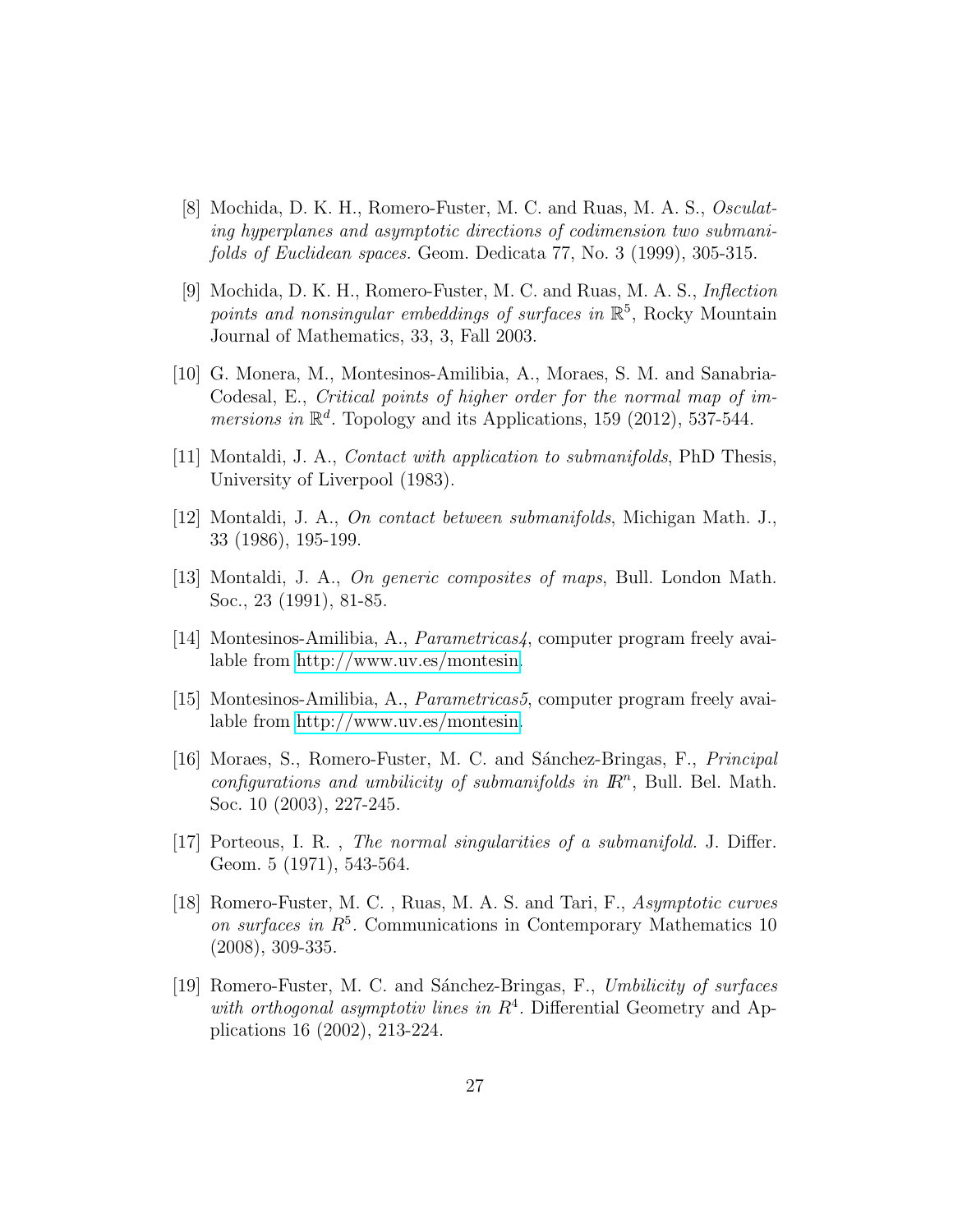- <span id="page-26-5"></span>[8] Mochida, D. K. H., Romero-Fuster, M. C. and Ruas, M. A. S., Osculating hyperplanes and asymptotic directions of codimension two submanifolds of Euclidean spaces. Geom. Dedicata 77, No. 3 (1999), 305-315.
- <span id="page-26-3"></span>[9] Mochida, D. K. H., Romero-Fuster, M. C. and Ruas, M. A. S., Inflection points and nonsingular embeddings of surfaces in  $\mathbb{R}^5$ , Rocky Mountain Journal of Mathematics, 33, 3, Fall 2003.
- <span id="page-26-6"></span>[10] G. Monera, M., Montesinos-Amilibia, A., Moraes, S. M. and Sanabria-Codesal, E., Critical points of higher order for the normal map of immersions in  $\mathbb{R}^d$ . Topology and its Applications, 159 (2012), 537-544.
- <span id="page-26-1"></span>[11] Montaldi, J. A., Contact with application to submanifolds, PhD Thesis, University of Liverpool (1983).
- <span id="page-26-2"></span>[12] Montaldi, J. A., On contact between submanifolds, Michigan Math. J., 33 (1986), 195-199.
- <span id="page-26-4"></span>[13] Montaldi, J. A., On generic composites of maps, Bull. London Math. Soc., 23 (1991), 81-85.
- <span id="page-26-9"></span>[14] Montesinos-Amilibia, A., Parametricas4, computer program freely available from [http://www.uv.es/montesin.](http://www.uv.es/montesin)
- <span id="page-26-8"></span>[15] Montesinos-Amilibia, A., Parametricas5, computer program freely available from [http://www.uv.es/montesin.](http://www.uv.es/montesin)
- <span id="page-26-7"></span>[16] Moraes, S., Romero-Fuster, M. C. and Sánchez-Bringas, F., *Principal* configurations and umbilicity of submanifolds in  $\mathbb{R}^n$ , Bull. Bel. Math. Soc. 10 (2003), 227-245.
- <span id="page-26-0"></span>[17] Porteous, I. R. , The normal singularities of a submanifold. J. Differ. Geom. 5 (1971), 543-564.
- <span id="page-26-11"></span>[18] Romero-Fuster, M. C. , Ruas, M. A. S. and Tari, F., Asymptotic curves on surfaces in  $R^5$ . Communications in Contemporary Mathematics 10 (2008), 309-335.
- <span id="page-26-10"></span>[19] Romero-Fuster, M. C. and Sánchez-Bringas, F., Umbilicity of surfaces with orthogonal asymptotiv lines in  $R<sup>4</sup>$ . Differential Geometry and Applications 16 (2002), 213-224.